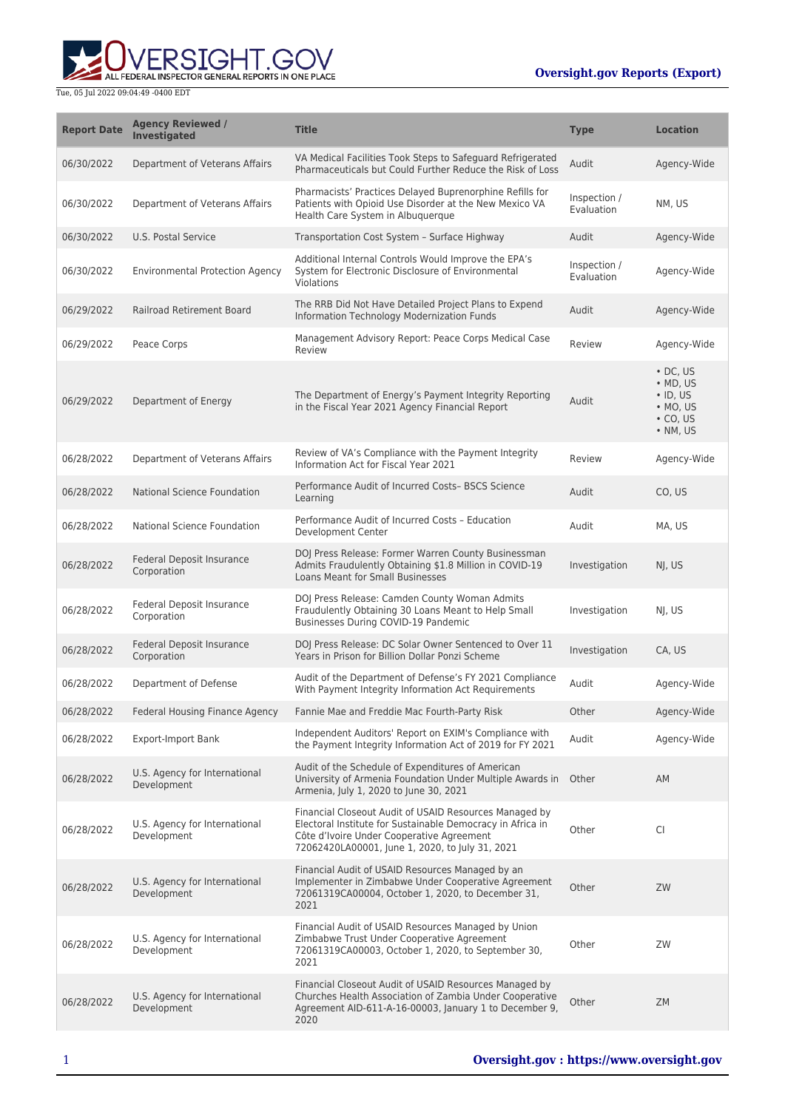ERSIGHT.GOV ALL FEDERAL INSPECTOR GENERAL REPORTS IN ONE PLACE

| <b>Report Date</b> | <b>Agency Reviewed /</b><br><b>Investigated</b> | <b>Title</b>                                                                                                                                                                                                         | <b>Type</b>                | <b>Location</b>                                                                                                |
|--------------------|-------------------------------------------------|----------------------------------------------------------------------------------------------------------------------------------------------------------------------------------------------------------------------|----------------------------|----------------------------------------------------------------------------------------------------------------|
| 06/30/2022         | Department of Veterans Affairs                  | VA Medical Facilities Took Steps to Safeguard Refrigerated<br>Pharmaceuticals but Could Further Reduce the Risk of Loss                                                                                              | Audit                      | Agency-Wide                                                                                                    |
| 06/30/2022         | Department of Veterans Affairs                  | Pharmacists' Practices Delayed Buprenorphine Refills for<br>Patients with Opioid Use Disorder at the New Mexico VA<br>Health Care System in Albuquerque                                                              | Inspection /<br>Evaluation | NM, US                                                                                                         |
| 06/30/2022         | U.S. Postal Service                             | Transportation Cost System - Surface Highway                                                                                                                                                                         | Audit                      | Agency-Wide                                                                                                    |
| 06/30/2022         | <b>Environmental Protection Agency</b>          | Additional Internal Controls Would Improve the EPA's<br>System for Electronic Disclosure of Environmental<br>Violations                                                                                              | Inspection /<br>Evaluation | Agency-Wide                                                                                                    |
| 06/29/2022         | Railroad Retirement Board                       | The RRB Did Not Have Detailed Project Plans to Expend<br>Information Technology Modernization Funds                                                                                                                  | Audit                      | Agency-Wide                                                                                                    |
| 06/29/2022         | Peace Corps                                     | Management Advisory Report: Peace Corps Medical Case<br>Review                                                                                                                                                       | Review                     | Agency-Wide                                                                                                    |
| 06/29/2022         | Department of Energy                            | The Department of Energy's Payment Integrity Reporting<br>in the Fiscal Year 2021 Agency Financial Report                                                                                                            | Audit                      | $\cdot$ DC. US<br>$\bullet$ MD, US<br>$\cdot$ ID, US<br>$\bullet$ MO, US<br>$\cdot$ CO, US<br>$\bullet$ NM, US |
| 06/28/2022         | Department of Veterans Affairs                  | Review of VA's Compliance with the Payment Integrity<br>Information Act for Fiscal Year 2021                                                                                                                         | Review                     | Agency-Wide                                                                                                    |
| 06/28/2022         | <b>National Science Foundation</b>              | Performance Audit of Incurred Costs-BSCS Science<br>Learning                                                                                                                                                         | Audit                      | CO. US                                                                                                         |
| 06/28/2022         | National Science Foundation                     | Performance Audit of Incurred Costs - Education<br>Development Center                                                                                                                                                | Audit                      | MA, US                                                                                                         |
| 06/28/2022         | Federal Deposit Insurance<br>Corporation        | DOJ Press Release: Former Warren County Businessman<br>Admits Fraudulently Obtaining \$1.8 Million in COVID-19<br>Loans Meant for Small Businesses                                                                   | Investigation              | NJ, US                                                                                                         |
| 06/28/2022         | Federal Deposit Insurance<br>Corporation        | DOJ Press Release: Camden County Woman Admits<br>Fraudulently Obtaining 30 Loans Meant to Help Small<br>Businesses During COVID-19 Pandemic                                                                          | Investigation              | NJ, US                                                                                                         |
| 06/28/2022         | Federal Deposit Insurance<br>Corporation        | DOJ Press Release: DC Solar Owner Sentenced to Over 11<br>Years in Prison for Billion Dollar Ponzi Scheme                                                                                                            | Investigation              | CA, US                                                                                                         |
| 06/28/2022         | Department of Defense                           | Audit of the Department of Defense's FY 2021 Compliance<br>With Payment Integrity Information Act Reguirements                                                                                                       | Audit                      | Agency-Wide                                                                                                    |
| 06/28/2022         | Federal Housing Finance Agency                  | Fannie Mae and Freddie Mac Fourth-Party Risk                                                                                                                                                                         | Other                      | Agency-Wide                                                                                                    |
| 06/28/2022         | <b>Export-Import Bank</b>                       | Independent Auditors' Report on EXIM's Compliance with<br>the Payment Integrity Information Act of 2019 for FY 2021                                                                                                  | Audit                      | Agency-Wide                                                                                                    |
| 06/28/2022         | U.S. Agency for International<br>Development    | Audit of the Schedule of Expenditures of American<br>University of Armenia Foundation Under Multiple Awards in Other<br>Armenia, July 1, 2020 to June 30, 2021                                                       |                            | AM                                                                                                             |
| 06/28/2022         | U.S. Agency for International<br>Development    | Financial Closeout Audit of USAID Resources Managed by<br>Electoral Institute for Sustainable Democracy in Africa in<br>Côte d'Ivoire Under Cooperative Agreement<br>72062420LA00001, June 1, 2020, to July 31, 2021 | Other                      | CI                                                                                                             |
| 06/28/2022         | U.S. Agency for International<br>Development    | Financial Audit of USAID Resources Managed by an<br>Implementer in Zimbabwe Under Cooperative Agreement<br>72061319CA00004, October 1, 2020, to December 31,<br>2021                                                 | Other                      | ZW                                                                                                             |
| 06/28/2022         | U.S. Agency for International<br>Development    | Financial Audit of USAID Resources Managed by Union<br>Zimbabwe Trust Under Cooperative Agreement<br>72061319CA00003, October 1, 2020, to September 30,<br>2021                                                      | Other                      | ZW                                                                                                             |
| 06/28/2022         | U.S. Agency for International<br>Development    | Financial Closeout Audit of USAID Resources Managed by<br>Churches Health Association of Zambia Under Cooperative<br>Agreement AID-611-A-16-00003, January 1 to December 9,<br>2020                                  | Other                      | ZM                                                                                                             |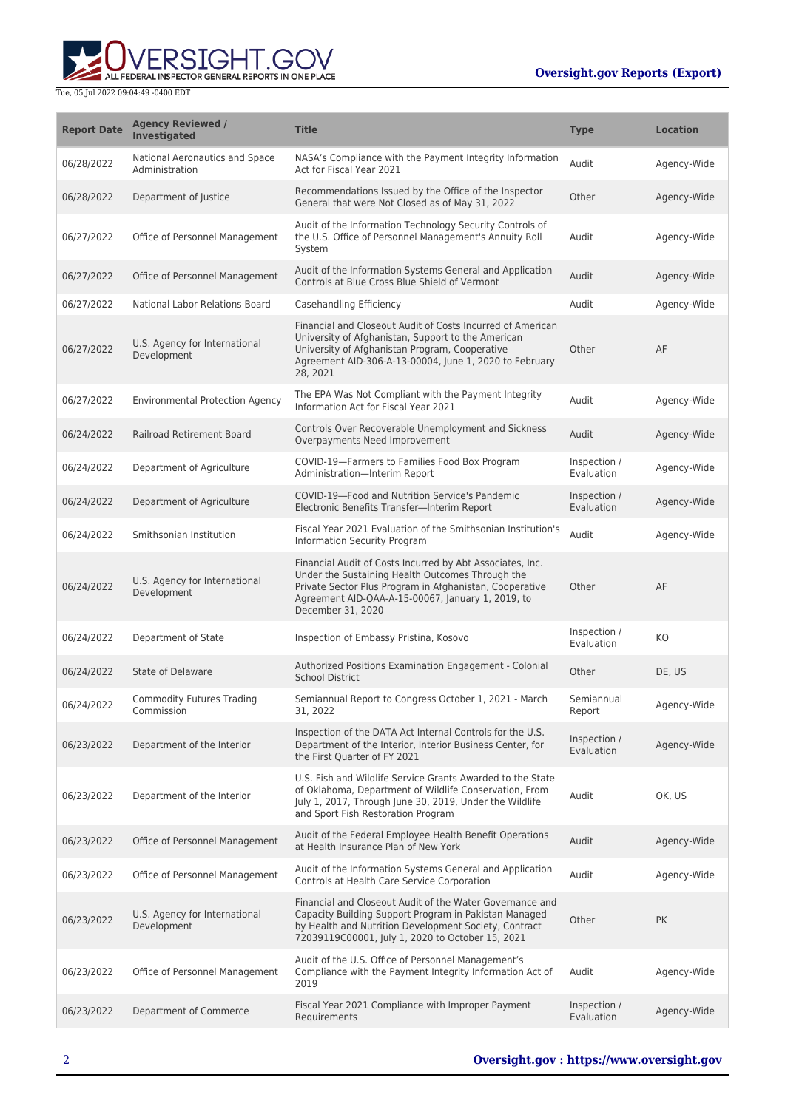

| <b>Report Date</b> | <b>Agency Reviewed /</b><br><b>Investigated</b>  | <b>Title</b>                                                                                                                                                                                                                                       | <b>Type</b>                | <b>Location</b> |
|--------------------|--------------------------------------------------|----------------------------------------------------------------------------------------------------------------------------------------------------------------------------------------------------------------------------------------------------|----------------------------|-----------------|
| 06/28/2022         | National Aeronautics and Space<br>Administration | NASA's Compliance with the Payment Integrity Information<br>Act for Fiscal Year 2021                                                                                                                                                               | Audit                      | Agency-Wide     |
| 06/28/2022         | Department of Justice                            | Recommendations Issued by the Office of the Inspector<br>General that were Not Closed as of May 31, 2022                                                                                                                                           | Other                      | Agency-Wide     |
| 06/27/2022         | Office of Personnel Management                   | Audit of the Information Technology Security Controls of<br>the U.S. Office of Personnel Management's Annuity Roll<br>System                                                                                                                       | Audit                      | Agency-Wide     |
| 06/27/2022         | Office of Personnel Management                   | Audit of the Information Systems General and Application<br>Controls at Blue Cross Blue Shield of Vermont                                                                                                                                          | Audit                      | Agency-Wide     |
| 06/27/2022         | National Labor Relations Board                   | Casehandling Efficiency                                                                                                                                                                                                                            | Audit                      | Agency-Wide     |
| 06/27/2022         | U.S. Agency for International<br>Development     | Financial and Closeout Audit of Costs Incurred of American<br>University of Afghanistan, Support to the American<br>University of Afghanistan Program, Cooperative<br>Agreement AID-306-A-13-00004, June 1, 2020 to February<br>28, 2021           | Other                      | AF              |
| 06/27/2022         | <b>Environmental Protection Agency</b>           | The EPA Was Not Compliant with the Payment Integrity<br>Information Act for Fiscal Year 2021                                                                                                                                                       | Audit                      | Agency-Wide     |
| 06/24/2022         | <b>Railroad Retirement Board</b>                 | Controls Over Recoverable Unemployment and Sickness<br>Overpayments Need Improvement                                                                                                                                                               | Audit                      | Agency-Wide     |
| 06/24/2022         | Department of Agriculture                        | COVID-19-Farmers to Families Food Box Program<br>Administration-Interim Report                                                                                                                                                                     | Inspection /<br>Evaluation | Agency-Wide     |
| 06/24/2022         | Department of Agriculture                        | COVID-19-Food and Nutrition Service's Pandemic<br>Electronic Benefits Transfer-Interim Report                                                                                                                                                      | Inspection /<br>Evaluation | Agency-Wide     |
| 06/24/2022         | Smithsonian Institution                          | Fiscal Year 2021 Evaluation of the Smithsonian Institution's<br>Information Security Program                                                                                                                                                       | Audit                      | Agency-Wide     |
| 06/24/2022         | U.S. Agency for International<br>Development     | Financial Audit of Costs Incurred by Abt Associates, Inc.<br>Under the Sustaining Health Outcomes Through the<br>Private Sector Plus Program in Afghanistan, Cooperative<br>Agreement AID-OAA-A-15-00067, January 1, 2019, to<br>December 31, 2020 | Other                      | AF              |
| 06/24/2022         | Department of State                              | Inspection of Embassy Pristina, Kosovo                                                                                                                                                                                                             | Inspection /<br>Evaluation | KO              |
| 06/24/2022         | <b>State of Delaware</b>                         | Authorized Positions Examination Engagement - Colonial<br><b>School District</b>                                                                                                                                                                   | Other                      | DE, US          |
| 06/24/2022         | <b>Commodity Futures Trading</b><br>Commission   | Semiannual Report to Congress October 1, 2021 - March<br>31, 2022                                                                                                                                                                                  | Semiannual<br>Report       | Agency-Wide     |
| 06/23/2022         | Department of the Interior                       | Inspection of the DATA Act Internal Controls for the U.S.<br>Department of the Interior, Interior Business Center, for<br>the First Quarter of FY 2021                                                                                             | Inspection /<br>Evaluation | Agency-Wide     |
| 06/23/2022         | Department of the Interior                       | U.S. Fish and Wildlife Service Grants Awarded to the State<br>of Oklahoma, Department of Wildlife Conservation, From<br>July 1, 2017, Through June 30, 2019, Under the Wildlife<br>and Sport Fish Restoration Program                              | Audit                      | OK, US          |
| 06/23/2022         | Office of Personnel Management                   | Audit of the Federal Employee Health Benefit Operations<br>at Health Insurance Plan of New York                                                                                                                                                    | Audit                      | Agency-Wide     |
| 06/23/2022         | Office of Personnel Management                   | Audit of the Information Systems General and Application<br>Controls at Health Care Service Corporation                                                                                                                                            | Audit                      | Agency-Wide     |
| 06/23/2022         | U.S. Agency for International<br>Development     | Financial and Closeout Audit of the Water Governance and<br>Capacity Building Support Program in Pakistan Managed<br>by Health and Nutrition Development Society, Contract<br>72039119C00001, July 1, 2020 to October 15, 2021                     | Other                      | <b>PK</b>       |
| 06/23/2022         | Office of Personnel Management                   | Audit of the U.S. Office of Personnel Management's<br>Compliance with the Payment Integrity Information Act of<br>2019                                                                                                                             | Audit                      | Agency-Wide     |
| 06/23/2022         | Department of Commerce                           | Fiscal Year 2021 Compliance with Improper Payment<br>Requirements                                                                                                                                                                                  | Inspection /<br>Evaluation | Agency-Wide     |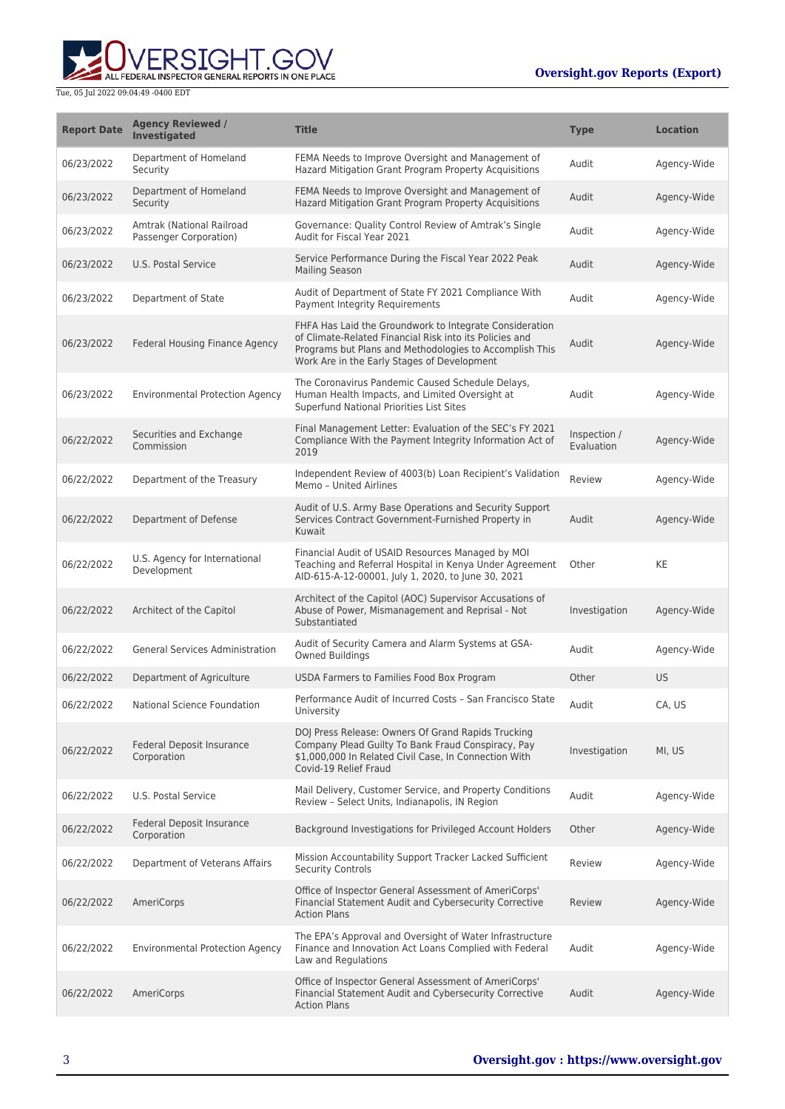

| <b>Report Date</b> | <b>Agency Reviewed /</b><br><b>Investigated</b>     | <b>Title</b>                                                                                                                                                                                                                 | <b>Type</b>                | Location    |
|--------------------|-----------------------------------------------------|------------------------------------------------------------------------------------------------------------------------------------------------------------------------------------------------------------------------------|----------------------------|-------------|
| 06/23/2022         | Department of Homeland<br>Security                  | FEMA Needs to Improve Oversight and Management of<br>Hazard Mitigation Grant Program Property Acquisitions                                                                                                                   | Audit                      | Agency-Wide |
| 06/23/2022         | Department of Homeland<br>Security                  | FEMA Needs to Improve Oversight and Management of<br>Hazard Mitigation Grant Program Property Acquisitions                                                                                                                   | Audit                      | Agency-Wide |
| 06/23/2022         | Amtrak (National Railroad<br>Passenger Corporation) | Governance: Quality Control Review of Amtrak's Single<br>Audit for Fiscal Year 2021                                                                                                                                          | Audit                      | Agency-Wide |
| 06/23/2022         | U.S. Postal Service                                 | Service Performance During the Fiscal Year 2022 Peak<br><b>Mailing Season</b>                                                                                                                                                | Audit                      | Agency-Wide |
| 06/23/2022         | Department of State                                 | Audit of Department of State FY 2021 Compliance With<br>Payment Integrity Requirements                                                                                                                                       | Audit                      | Agency-Wide |
| 06/23/2022         | Federal Housing Finance Agency                      | FHFA Has Laid the Groundwork to Integrate Consideration<br>of Climate-Related Financial Risk into its Policies and<br>Programs but Plans and Methodologies to Accomplish This<br>Work Are in the Early Stages of Development | Audit                      | Agency-Wide |
| 06/23/2022         | <b>Environmental Protection Agency</b>              | The Coronavirus Pandemic Caused Schedule Delays,<br>Human Health Impacts, and Limited Oversight at<br>Superfund National Priorities List Sites                                                                               | Audit                      | Agency-Wide |
| 06/22/2022         | Securities and Exchange<br>Commission               | Final Management Letter: Evaluation of the SEC's FY 2021<br>Compliance With the Payment Integrity Information Act of<br>2019                                                                                                 | Inspection /<br>Evaluation | Agency-Wide |
| 06/22/2022         | Department of the Treasury                          | Independent Review of 4003(b) Loan Recipient's Validation<br>Memo - United Airlines                                                                                                                                          | Review                     | Agency-Wide |
| 06/22/2022         | Department of Defense                               | Audit of U.S. Army Base Operations and Security Support<br>Services Contract Government-Furnished Property in<br>Kuwait                                                                                                      | Audit                      | Agency-Wide |
| 06/22/2022         | U.S. Agency for International<br>Development        | Financial Audit of USAID Resources Managed by MOI<br>Teaching and Referral Hospital in Kenya Under Agreement<br>AID-615-A-12-00001, July 1, 2020, to June 30, 2021                                                           | Other                      | KE          |
| 06/22/2022         | Architect of the Capitol                            | Architect of the Capitol (AOC) Supervisor Accusations of<br>Abuse of Power, Mismanagement and Reprisal - Not<br>Substantiated                                                                                                | Investigation              | Agency-Wide |
| 06/22/2022         | <b>General Services Administration</b>              | Audit of Security Camera and Alarm Systems at GSA-<br>Owned Buildings                                                                                                                                                        | Audit                      | Agency-Wide |
| 06/22/2022         | Department of Agriculture                           | USDA Farmers to Families Food Box Program                                                                                                                                                                                    | Other                      | <b>US</b>   |
| 06/22/2022         | National Science Foundation                         | Performance Audit of Incurred Costs - San Francisco State<br>University                                                                                                                                                      | Audit                      | CA, US      |
| 06/22/2022         | Federal Deposit Insurance<br>Corporation            | DOJ Press Release: Owners Of Grand Rapids Trucking<br>Company Plead Guilty To Bank Fraud Conspiracy, Pay<br>\$1,000,000 In Related Civil Case, In Connection With<br>Covid-19 Relief Fraud                                   | Investigation              | MI, US      |
| 06/22/2022         | U.S. Postal Service                                 | Mail Delivery, Customer Service, and Property Conditions<br>Review - Select Units, Indianapolis, IN Region                                                                                                                   | Audit                      | Agency-Wide |
| 06/22/2022         | Federal Deposit Insurance<br>Corporation            | Background Investigations for Privileged Account Holders                                                                                                                                                                     | Other                      | Agency-Wide |
| 06/22/2022         | Department of Veterans Affairs                      | Mission Accountability Support Tracker Lacked Sufficient<br><b>Security Controls</b>                                                                                                                                         | Review                     | Agency-Wide |
| 06/22/2022         | AmeriCorps                                          | Office of Inspector General Assessment of AmeriCorps'<br>Financial Statement Audit and Cybersecurity Corrective<br><b>Action Plans</b>                                                                                       | <b>Review</b>              | Agency-Wide |
| 06/22/2022         | <b>Environmental Protection Agency</b>              | The EPA's Approval and Oversight of Water Infrastructure<br>Finance and Innovation Act Loans Complied with Federal<br>Law and Regulations                                                                                    | Audit                      | Agency-Wide |
| 06/22/2022         | AmeriCorps                                          | Office of Inspector General Assessment of AmeriCorps'<br>Financial Statement Audit and Cybersecurity Corrective<br><b>Action Plans</b>                                                                                       | Audit                      | Agency-Wide |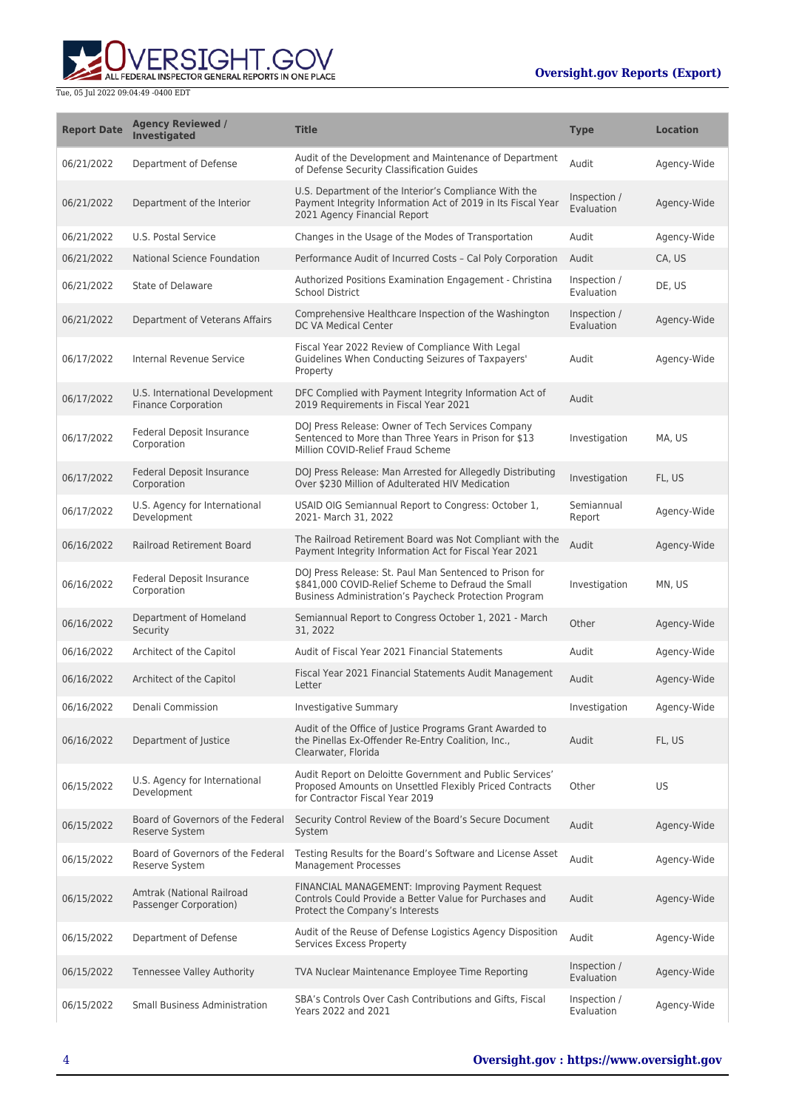ALL FEDERAL INSPECTOR GENERAL REPORTS IN ONE PLACE

| <b>Report Date</b> | <b>Agency Reviewed /</b><br><b>Investigated</b>              | <b>Title</b>                                                                                                                                                           | <b>Type</b>                | <b>Location</b> |
|--------------------|--------------------------------------------------------------|------------------------------------------------------------------------------------------------------------------------------------------------------------------------|----------------------------|-----------------|
| 06/21/2022         | Department of Defense                                        | Audit of the Development and Maintenance of Department<br>of Defense Security Classification Guides                                                                    | Audit                      | Agency-Wide     |
| 06/21/2022         | Department of the Interior                                   | U.S. Department of the Interior's Compliance With the<br>Payment Integrity Information Act of 2019 in Its Fiscal Year<br>2021 Agency Financial Report                  | Inspection /<br>Evaluation | Agency-Wide     |
| 06/21/2022         | U.S. Postal Service                                          | Changes in the Usage of the Modes of Transportation                                                                                                                    | Audit                      | Agency-Wide     |
| 06/21/2022         | National Science Foundation                                  | Performance Audit of Incurred Costs - Cal Poly Corporation                                                                                                             | Audit                      | CA, US          |
| 06/21/2022         | State of Delaware                                            | Authorized Positions Examination Engagement - Christina<br><b>School District</b>                                                                                      | Inspection /<br>Evaluation | DE, US          |
| 06/21/2022         | Department of Veterans Affairs                               | Comprehensive Healthcare Inspection of the Washington<br>DC VA Medical Center                                                                                          | Inspection /<br>Evaluation | Agency-Wide     |
| 06/17/2022         | Internal Revenue Service                                     | Fiscal Year 2022 Review of Compliance With Legal<br>Guidelines When Conducting Seizures of Taxpayers'<br>Property                                                      | Audit                      | Agency-Wide     |
| 06/17/2022         | U.S. International Development<br><b>Finance Corporation</b> | DFC Complied with Payment Integrity Information Act of<br>2019 Requirements in Fiscal Year 2021                                                                        | Audit                      |                 |
| 06/17/2022         | Federal Deposit Insurance<br>Corporation                     | DOJ Press Release: Owner of Tech Services Company<br>Sentenced to More than Three Years in Prison for \$13<br>Million COVID-Relief Fraud Scheme                        | Investigation              | MA, US          |
| 06/17/2022         | Federal Deposit Insurance<br>Corporation                     | DOJ Press Release: Man Arrested for Allegedly Distributing<br>Over \$230 Million of Adulterated HIV Medication                                                         | Investigation              | FL, US          |
| 06/17/2022         | U.S. Agency for International<br>Development                 | USAID OIG Semiannual Report to Congress: October 1,<br>2021- March 31, 2022                                                                                            | Semiannual<br>Report       | Agency-Wide     |
| 06/16/2022         | Railroad Retirement Board                                    | The Railroad Retirement Board was Not Compliant with the<br>Payment Integrity Information Act for Fiscal Year 2021                                                     | Audit                      | Agency-Wide     |
| 06/16/2022         | Federal Deposit Insurance<br>Corporation                     | DOJ Press Release: St. Paul Man Sentenced to Prison for<br>\$841,000 COVID-Relief Scheme to Defraud the Small<br>Business Administration's Paycheck Protection Program | Investigation              | MN, US          |
| 06/16/2022         | Department of Homeland<br>Security                           | Semiannual Report to Congress October 1, 2021 - March<br>31, 2022                                                                                                      | Other                      | Agency-Wide     |
| 06/16/2022         | Architect of the Capitol                                     | Audit of Fiscal Year 2021 Financial Statements                                                                                                                         | Audit                      | Agency-Wide     |
| 06/16/2022         | Architect of the Capitol                                     | Fiscal Year 2021 Financial Statements Audit Management<br>Letter                                                                                                       | Audit                      | Agency-Wide     |
| 06/16/2022         | Denali Commission                                            | Investigative Summary                                                                                                                                                  | Investigation              | Agency-Wide     |
| 06/16/2022         | Department of Justice                                        | Audit of the Office of Justice Programs Grant Awarded to<br>the Pinellas Ex-Offender Re-Entry Coalition, Inc.,<br>Clearwater, Florida                                  | Audit                      | FL, US          |
| 06/15/2022         | U.S. Agency for International<br>Development                 | Audit Report on Deloitte Government and Public Services'<br>Proposed Amounts on Unsettled Flexibly Priced Contracts<br>for Contractor Fiscal Year 2019                 | Other                      | US              |
| 06/15/2022         | Board of Governors of the Federal<br>Reserve System          | Security Control Review of the Board's Secure Document<br>System                                                                                                       | Audit                      | Agency-Wide     |
| 06/15/2022         | Board of Governors of the Federal<br>Reserve System          | Testing Results for the Board's Software and License Asset<br><b>Management Processes</b>                                                                              | Audit                      | Agency-Wide     |
| 06/15/2022         | Amtrak (National Railroad<br>Passenger Corporation)          | FINANCIAL MANAGEMENT: Improving Payment Request<br>Controls Could Provide a Better Value for Purchases and<br>Protect the Company's Interests                          | Audit                      | Agency-Wide     |
| 06/15/2022         | Department of Defense                                        | Audit of the Reuse of Defense Logistics Agency Disposition<br>Services Excess Property                                                                                 | Audit                      | Agency-Wide     |
| 06/15/2022         | Tennessee Valley Authority                                   | TVA Nuclear Maintenance Employee Time Reporting                                                                                                                        | Inspection /<br>Evaluation | Agency-Wide     |
| 06/15/2022         | Small Business Administration                                | SBA's Controls Over Cash Contributions and Gifts, Fiscal<br>Years 2022 and 2021                                                                                        | Inspection /<br>Evaluation | Agency-Wide     |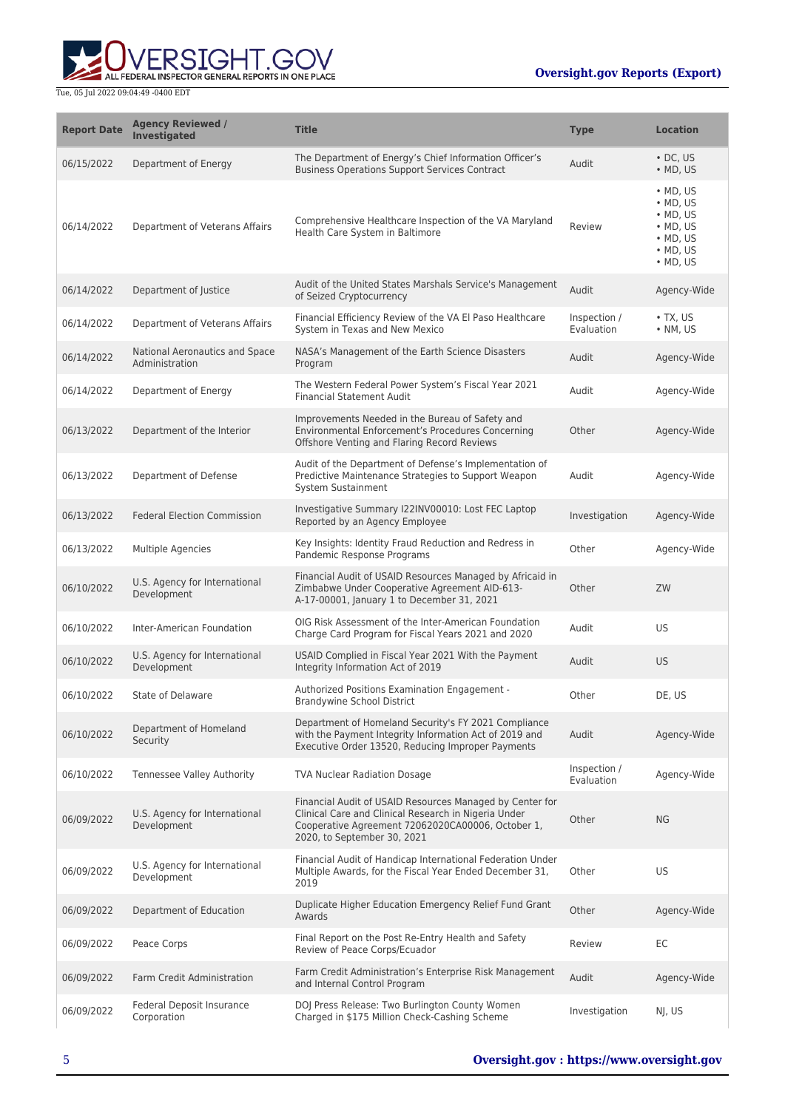**WERSIGHT.GOV** 

| <b>Report Date</b> | <b>Agency Reviewed /</b><br><b>Investigated</b>  | <b>Title</b>                                                                                                                                                                                         | <b>Type</b>                | <b>Location</b>                                                                                                                          |
|--------------------|--------------------------------------------------|------------------------------------------------------------------------------------------------------------------------------------------------------------------------------------------------------|----------------------------|------------------------------------------------------------------------------------------------------------------------------------------|
| 06/15/2022         | Department of Energy                             | The Department of Energy's Chief Information Officer's<br><b>Business Operations Support Services Contract</b>                                                                                       | Audit                      | $\cdot$ DC, US<br>$\bullet$ MD, US                                                                                                       |
| 06/14/2022         | Department of Veterans Affairs                   | Comprehensive Healthcare Inspection of the VA Maryland<br>Health Care System in Baltimore                                                                                                            | Review                     | $\bullet$ MD, US<br>$\bullet$ MD, US<br>$\bullet$ MD, US<br>$\bullet$ MD, US<br>$\bullet$ MD, US<br>$\bullet$ MD, US<br>$\bullet$ MD, US |
| 06/14/2022         | Department of Justice                            | Audit of the United States Marshals Service's Management<br>of Seized Cryptocurrency                                                                                                                 | Audit                      | Agency-Wide                                                                                                                              |
| 06/14/2022         | Department of Veterans Affairs                   | Financial Efficiency Review of the VA El Paso Healthcare<br>System in Texas and New Mexico                                                                                                           | Inspection /<br>Evaluation | $\bullet$ TX, US<br>• NM, US                                                                                                             |
| 06/14/2022         | National Aeronautics and Space<br>Administration | NASA's Management of the Earth Science Disasters<br>Program                                                                                                                                          | Audit                      | Agency-Wide                                                                                                                              |
| 06/14/2022         | Department of Energy                             | The Western Federal Power System's Fiscal Year 2021<br><b>Financial Statement Audit</b>                                                                                                              | Audit                      | Agency-Wide                                                                                                                              |
| 06/13/2022         | Department of the Interior                       | Improvements Needed in the Bureau of Safety and<br>Environmental Enforcement's Procedures Concerning<br>Offshore Venting and Flaring Record Reviews                                                  | Other                      | Agency-Wide                                                                                                                              |
| 06/13/2022         | Department of Defense                            | Audit of the Department of Defense's Implementation of<br>Predictive Maintenance Strategies to Support Weapon<br>System Sustainment                                                                  | Audit                      | Agency-Wide                                                                                                                              |
| 06/13/2022         | <b>Federal Election Commission</b>               | Investigative Summary I22INV00010: Lost FEC Laptop<br>Reported by an Agency Employee                                                                                                                 | Investigation              | Agency-Wide                                                                                                                              |
| 06/13/2022         | Multiple Agencies                                | Key Insights: Identity Fraud Reduction and Redress in<br>Pandemic Response Programs                                                                                                                  | Other                      | Agency-Wide                                                                                                                              |
| 06/10/2022         | U.S. Agency for International<br>Development     | Financial Audit of USAID Resources Managed by Africaid in<br>Zimbabwe Under Cooperative Agreement AID-613-<br>A-17-00001, January 1 to December 31, 2021                                             | Other                      | ZW                                                                                                                                       |
| 06/10/2022         | Inter-American Foundation                        | OIG Risk Assessment of the Inter-American Foundation<br>Charge Card Program for Fiscal Years 2021 and 2020                                                                                           | Audit                      | <b>US</b>                                                                                                                                |
| 06/10/2022         | U.S. Agency for International<br>Development     | USAID Complied in Fiscal Year 2021 With the Payment<br>Integrity Information Act of 2019                                                                                                             | Audit                      | <b>US</b>                                                                                                                                |
| 06/10/2022         | State of Delaware                                | Authorized Positions Examination Engagement -<br><b>Brandywine School District</b>                                                                                                                   | Other                      | DE, US                                                                                                                                   |
| 06/10/2022         | Department of Homeland<br>Security               | Department of Homeland Security's FY 2021 Compliance<br>with the Payment Integrity Information Act of 2019 and<br>Executive Order 13520, Reducing Improper Payments                                  | Audit                      | Agency-Wide                                                                                                                              |
| 06/10/2022         | Tennessee Valley Authority                       | <b>TVA Nuclear Radiation Dosage</b>                                                                                                                                                                  | Inspection /<br>Evaluation | Agency-Wide                                                                                                                              |
| 06/09/2022         | U.S. Agency for International<br>Development     | Financial Audit of USAID Resources Managed by Center for<br>Clinical Care and Clinical Research in Nigeria Under<br>Cooperative Agreement 72062020CA00006, October 1,<br>2020, to September 30, 2021 | Other                      | <b>NG</b>                                                                                                                                |
| 06/09/2022         | U.S. Agency for International<br>Development     | Financial Audit of Handicap International Federation Under<br>Multiple Awards, for the Fiscal Year Ended December 31,<br>2019                                                                        | Other                      | <b>US</b>                                                                                                                                |
| 06/09/2022         | Department of Education                          | Duplicate Higher Education Emergency Relief Fund Grant<br>Awards                                                                                                                                     | Other                      | Agency-Wide                                                                                                                              |
| 06/09/2022         | Peace Corps                                      | Final Report on the Post Re-Entry Health and Safety<br>Review of Peace Corps/Ecuador                                                                                                                 | Review                     | EC                                                                                                                                       |
| 06/09/2022         | Farm Credit Administration                       | Farm Credit Administration's Enterprise Risk Management<br>and Internal Control Program                                                                                                              | Audit                      | Agency-Wide                                                                                                                              |
| 06/09/2022         | Federal Deposit Insurance<br>Corporation         | DOJ Press Release: Two Burlington County Women<br>Charged in \$175 Million Check-Cashing Scheme                                                                                                      | Investigation              | NJ, US                                                                                                                                   |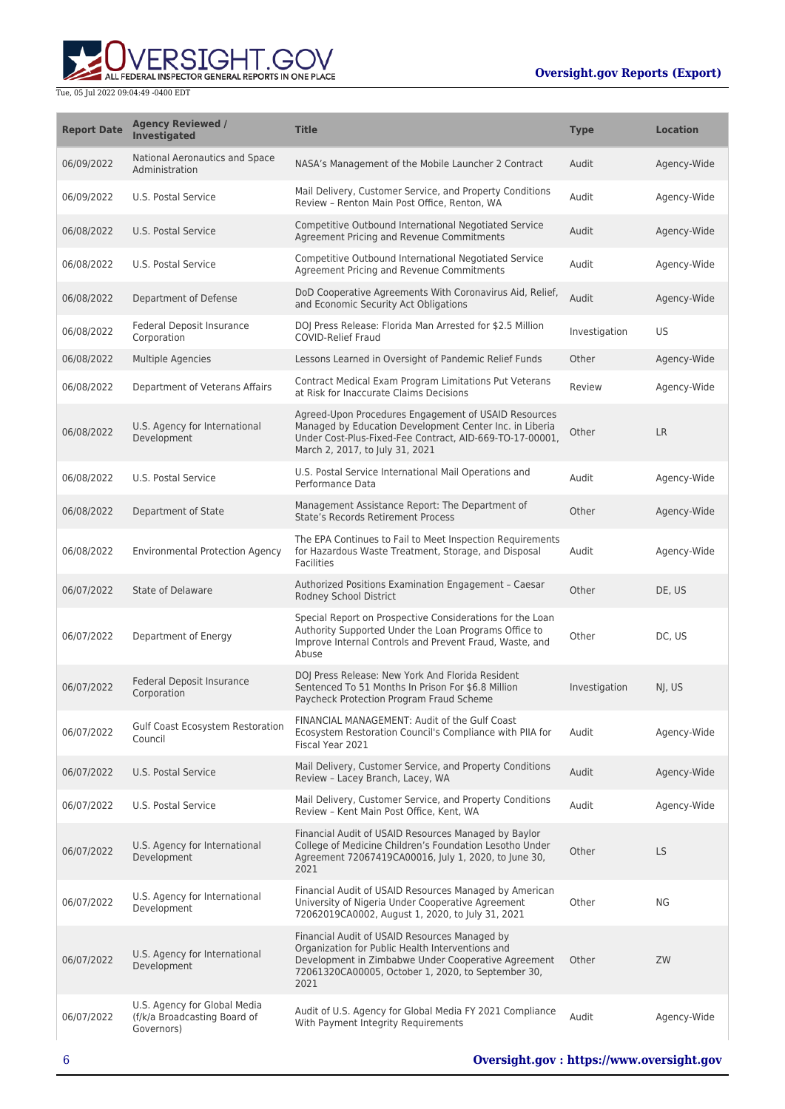**WERSIGHT.GOV** 

| <b>Report Date</b> | <b>Agency Reviewed /</b><br><b>Investigated</b>                            | <b>Title</b>                                                                                                                                                                                                           | <b>Type</b>   | <b>Location</b> |
|--------------------|----------------------------------------------------------------------------|------------------------------------------------------------------------------------------------------------------------------------------------------------------------------------------------------------------------|---------------|-----------------|
| 06/09/2022         | National Aeronautics and Space<br>Administration                           | NASA's Management of the Mobile Launcher 2 Contract                                                                                                                                                                    | Audit         | Agency-Wide     |
| 06/09/2022         | U.S. Postal Service                                                        | Mail Delivery, Customer Service, and Property Conditions<br>Review - Renton Main Post Office, Renton, WA                                                                                                               | Audit         | Agency-Wide     |
| 06/08/2022         | U.S. Postal Service                                                        | Competitive Outbound International Negotiated Service<br>Agreement Pricing and Revenue Commitments                                                                                                                     | Audit         | Agency-Wide     |
| 06/08/2022         | U.S. Postal Service                                                        | Competitive Outbound International Negotiated Service<br>Agreement Pricing and Revenue Commitments                                                                                                                     | Audit         | Agency-Wide     |
| 06/08/2022         | Department of Defense                                                      | DoD Cooperative Agreements With Coronavirus Aid, Relief,<br>and Economic Security Act Obligations                                                                                                                      | Audit         | Agency-Wide     |
| 06/08/2022         | Federal Deposit Insurance<br>Corporation                                   | DOJ Press Release: Florida Man Arrested for \$2.5 Million<br><b>COVID-Relief Fraud</b>                                                                                                                                 | Investigation | US              |
| 06/08/2022         | Multiple Agencies                                                          | Lessons Learned in Oversight of Pandemic Relief Funds                                                                                                                                                                  | Other         | Agency-Wide     |
| 06/08/2022         | Department of Veterans Affairs                                             | <b>Contract Medical Exam Program Limitations Put Veterans</b><br>at Risk for Inaccurate Claims Decisions                                                                                                               | Review        | Agency-Wide     |
| 06/08/2022         | U.S. Agency for International<br>Development                               | Agreed-Upon Procedures Engagement of USAID Resources<br>Managed by Education Development Center Inc. in Liberia<br>Under Cost-Plus-Fixed-Fee Contract, AID-669-TO-17-00001,<br>March 2, 2017, to July 31, 2021         | Other         | <b>LR</b>       |
| 06/08/2022         | U.S. Postal Service                                                        | U.S. Postal Service International Mail Operations and<br>Performance Data                                                                                                                                              | Audit         | Agency-Wide     |
| 06/08/2022         | Department of State                                                        | Management Assistance Report: The Department of<br><b>State's Records Retirement Process</b>                                                                                                                           | Other         | Agency-Wide     |
| 06/08/2022         | <b>Environmental Protection Agency</b>                                     | The EPA Continues to Fail to Meet Inspection Requirements<br>for Hazardous Waste Treatment, Storage, and Disposal<br><b>Facilities</b>                                                                                 | Audit         | Agency-Wide     |
| 06/07/2022         | <b>State of Delaware</b>                                                   | Authorized Positions Examination Engagement - Caesar<br>Rodney School District                                                                                                                                         | Other         | DE, US          |
| 06/07/2022         | Department of Energy                                                       | Special Report on Prospective Considerations for the Loan<br>Authority Supported Under the Loan Programs Office to<br>Improve Internal Controls and Prevent Fraud, Waste, and<br>Abuse                                 | Other         | DC, US          |
| 06/07/2022         | Federal Deposit Insurance<br>Corporation                                   | DOJ Press Release: New York And Florida Resident<br>Sentenced To 51 Months In Prison For \$6.8 Million<br>Paycheck Protection Program Fraud Scheme                                                                     | Investigation | NJ, US          |
| 06/07/2022         | <b>Gulf Coast Ecosystem Restoration</b><br>Council                         | FINANCIAL MANAGEMENT: Audit of the Gulf Coast<br>Ecosystem Restoration Council's Compliance with PIIA for<br>Fiscal Year 2021                                                                                          | Audit         | Agency-Wide     |
| 06/07/2022         | U.S. Postal Service                                                        | Mail Delivery, Customer Service, and Property Conditions<br>Review - Lacey Branch, Lacey, WA                                                                                                                           | Audit         | Agency-Wide     |
| 06/07/2022         | U.S. Postal Service                                                        | Mail Delivery, Customer Service, and Property Conditions<br>Review - Kent Main Post Office, Kent, WA                                                                                                                   | Audit         | Agency-Wide     |
| 06/07/2022         | U.S. Agency for International<br>Development                               | Financial Audit of USAID Resources Managed by Baylor<br>College of Medicine Children's Foundation Lesotho Under<br>Agreement 72067419CA00016, July 1, 2020, to June 30,<br>2021                                        | Other         | <b>LS</b>       |
| 06/07/2022         | U.S. Agency for International<br>Development                               | Financial Audit of USAID Resources Managed by American<br>University of Nigeria Under Cooperative Agreement<br>72062019CA0002, August 1, 2020, to July 31, 2021                                                        | Other         | ΝG              |
| 06/07/2022         | U.S. Agency for International<br>Development                               | Financial Audit of USAID Resources Managed by<br>Organization for Public Health Interventions and<br>Development in Zimbabwe Under Cooperative Agreement<br>72061320CA00005, October 1, 2020, to September 30,<br>2021 | Other         | ZW              |
| 06/07/2022         | U.S. Agency for Global Media<br>(f/k/a Broadcasting Board of<br>Governors) | Audit of U.S. Agency for Global Media FY 2021 Compliance<br>With Payment Integrity Requirements                                                                                                                        | Audit         | Agency-Wide     |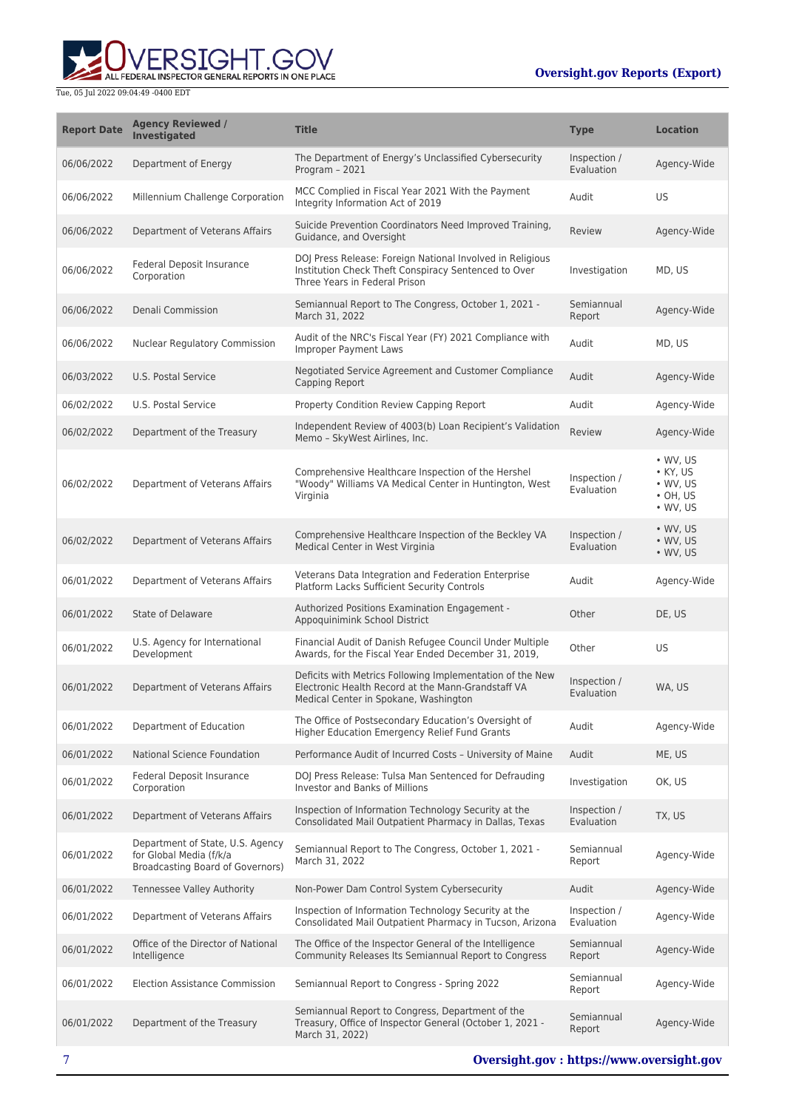

| <b>Report Date</b> | <b>Agency Reviewed /</b><br><b>Investigated</b>                                                 | <b>Title</b>                                                                                                                                             | <b>Type</b>                | <b>Location</b>                                                                              |
|--------------------|-------------------------------------------------------------------------------------------------|----------------------------------------------------------------------------------------------------------------------------------------------------------|----------------------------|----------------------------------------------------------------------------------------------|
| 06/06/2022         | Department of Energy                                                                            | The Department of Energy's Unclassified Cybersecurity<br>Program - 2021                                                                                  | Inspection /<br>Evaluation | Agency-Wide                                                                                  |
| 06/06/2022         | Millennium Challenge Corporation                                                                | MCC Complied in Fiscal Year 2021 With the Payment<br>Integrity Information Act of 2019                                                                   | Audit                      | US                                                                                           |
| 06/06/2022         | Department of Veterans Affairs                                                                  | Suicide Prevention Coordinators Need Improved Training,<br>Guidance, and Oversight                                                                       | Review                     | Agency-Wide                                                                                  |
| 06/06/2022         | Federal Deposit Insurance<br>Corporation                                                        | DOJ Press Release: Foreign National Involved in Religious<br>Institution Check Theft Conspiracy Sentenced to Over<br>Three Years in Federal Prison       | Investigation              | MD, US                                                                                       |
| 06/06/2022         | Denali Commission                                                                               | Semiannual Report to The Congress, October 1, 2021 -<br>March 31, 2022                                                                                   | Semiannual<br>Report       | Agency-Wide                                                                                  |
| 06/06/2022         | Nuclear Regulatory Commission                                                                   | Audit of the NRC's Fiscal Year (FY) 2021 Compliance with<br><b>Improper Payment Laws</b>                                                                 | Audit                      | MD, US                                                                                       |
| 06/03/2022         | U.S. Postal Service                                                                             | Negotiated Service Agreement and Customer Compliance<br>Capping Report                                                                                   | Audit                      | Agency-Wide                                                                                  |
| 06/02/2022         | U.S. Postal Service                                                                             | Property Condition Review Capping Report                                                                                                                 | Audit                      | Agency-Wide                                                                                  |
| 06/02/2022         | Department of the Treasury                                                                      | Independent Review of 4003(b) Loan Recipient's Validation<br>Memo - SkyWest Airlines, Inc.                                                               | Review                     | Agency-Wide                                                                                  |
| 06/02/2022         | Department of Veterans Affairs                                                                  | Comprehensive Healthcare Inspection of the Hershel<br>"Woody" Williams VA Medical Center in Huntington, West<br>Virginia                                 | Inspection /<br>Evaluation | $\bullet$ WV, US<br>$\bullet$ KY, US<br>$\bullet$ WV, US<br>$\cdot$ OH, US<br>$\cdot$ WV, US |
| 06/02/2022         | Department of Veterans Affairs                                                                  | Comprehensive Healthcare Inspection of the Beckley VA<br>Medical Center in West Virginia                                                                 | Inspection /<br>Evaluation | • WV, US<br>• WV, US<br>$\bullet$ WV, US                                                     |
| 06/01/2022         | Department of Veterans Affairs                                                                  | Veterans Data Integration and Federation Enterprise<br>Platform Lacks Sufficient Security Controls                                                       | Audit                      | Agency-Wide                                                                                  |
| 06/01/2022         | <b>State of Delaware</b>                                                                        | Authorized Positions Examination Engagement -<br>Appoquinimink School District                                                                           | Other                      | DE, US                                                                                       |
| 06/01/2022         | U.S. Agency for International<br>Development                                                    | Financial Audit of Danish Refugee Council Under Multiple<br>Awards, for the Fiscal Year Ended December 31, 2019,                                         | Other                      | <b>US</b>                                                                                    |
| 06/01/2022         | Department of Veterans Affairs                                                                  | Deficits with Metrics Following Implementation of the New<br>Electronic Health Record at the Mann-Grandstaff VA<br>Medical Center in Spokane, Washington | Inspection /<br>Evaluation | WA, US                                                                                       |
| 06/01/2022         | Department of Education                                                                         | The Office of Postsecondary Education's Oversight of<br>Higher Education Emergency Relief Fund Grants                                                    | Audit                      | Agency-Wide                                                                                  |
| 06/01/2022         | <b>National Science Foundation</b>                                                              | Performance Audit of Incurred Costs - University of Maine                                                                                                | Audit                      | ME, US                                                                                       |
| 06/01/2022         | Federal Deposit Insurance<br>Corporation                                                        | DOJ Press Release: Tulsa Man Sentenced for Defrauding<br>Investor and Banks of Millions                                                                  | Investigation              | OK, US                                                                                       |
| 06/01/2022         | Department of Veterans Affairs                                                                  | Inspection of Information Technology Security at the<br>Consolidated Mail Outpatient Pharmacy in Dallas, Texas                                           | Inspection /<br>Evaluation | TX, US                                                                                       |
| 06/01/2022         | Department of State, U.S. Agency<br>for Global Media (f/k/a<br>Broadcasting Board of Governors) | Semiannual Report to The Congress, October 1, 2021 -<br>March 31, 2022                                                                                   | Semiannual<br>Report       | Agency-Wide                                                                                  |
| 06/01/2022         | <b>Tennessee Valley Authority</b>                                                               | Non-Power Dam Control System Cybersecurity                                                                                                               | Audit                      | Agency-Wide                                                                                  |
| 06/01/2022         | Department of Veterans Affairs                                                                  | Inspection of Information Technology Security at the<br>Consolidated Mail Outpatient Pharmacy in Tucson, Arizona                                         | Inspection /<br>Evaluation | Agency-Wide                                                                                  |
| 06/01/2022         | Office of the Director of National<br>Intelligence                                              | The Office of the Inspector General of the Intelligence<br>Community Releases Its Semiannual Report to Congress                                          | Semiannual<br>Report       | Agency-Wide                                                                                  |
| 06/01/2022         | <b>Election Assistance Commission</b>                                                           | Semiannual Report to Congress - Spring 2022                                                                                                              | Semiannual<br>Report       | Agency-Wide                                                                                  |
| 06/01/2022         | Department of the Treasury                                                                      | Semiannual Report to Congress, Department of the<br>Treasury, Office of Inspector General (October 1, 2021 -<br>March 31, 2022)                          | Semiannual<br>Report       | Agency-Wide                                                                                  |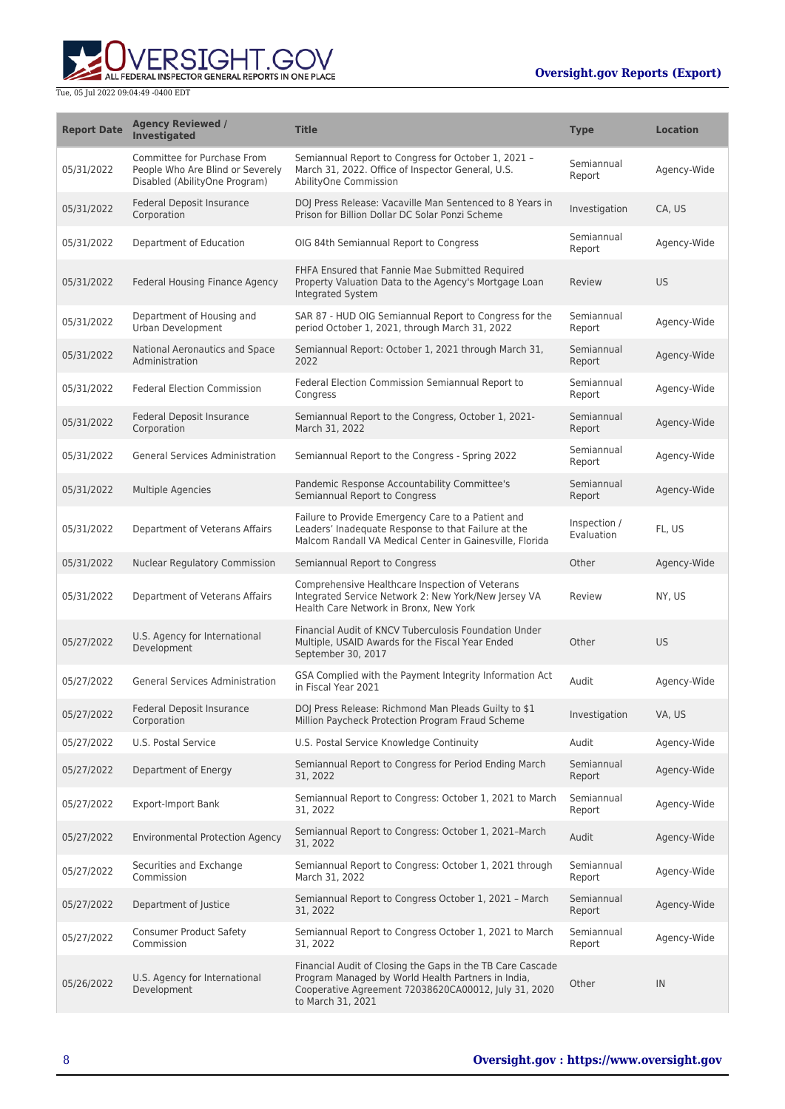

| <b>Report Date</b> | <b>Agency Reviewed /</b><br><b>Investigated</b>                                                  | <b>Title</b>                                                                                                                                                                                  | <b>Type</b>                | <b>Location</b> |
|--------------------|--------------------------------------------------------------------------------------------------|-----------------------------------------------------------------------------------------------------------------------------------------------------------------------------------------------|----------------------------|-----------------|
| 05/31/2022         | Committee for Purchase From<br>People Who Are Blind or Severely<br>Disabled (AbilityOne Program) | Semiannual Report to Congress for October 1, 2021 -<br>March 31, 2022. Office of Inspector General, U.S.<br>AbilityOne Commission                                                             | Semiannual<br>Report       | Agency-Wide     |
| 05/31/2022         | Federal Deposit Insurance<br>Corporation                                                         | DOJ Press Release: Vacaville Man Sentenced to 8 Years in<br>Prison for Billion Dollar DC Solar Ponzi Scheme                                                                                   | Investigation              | CA, US          |
| 05/31/2022         | Department of Education                                                                          | OIG 84th Semiannual Report to Congress                                                                                                                                                        | Semiannual<br>Report       | Agency-Wide     |
| 05/31/2022         | <b>Federal Housing Finance Agency</b>                                                            | FHFA Ensured that Fannie Mae Submitted Required<br>Property Valuation Data to the Agency's Mortgage Loan<br>Integrated System                                                                 | Review                     | <b>US</b>       |
| 05/31/2022         | Department of Housing and<br>Urban Development                                                   | SAR 87 - HUD OIG Semiannual Report to Congress for the<br>period October 1, 2021, through March 31, 2022                                                                                      | Semiannual<br>Report       | Agency-Wide     |
| 05/31/2022         | National Aeronautics and Space<br>Administration                                                 | Semiannual Report: October 1, 2021 through March 31,<br>2022                                                                                                                                  | Semiannual<br>Report       | Agency-Wide     |
| 05/31/2022         | <b>Federal Election Commission</b>                                                               | Federal Election Commission Semiannual Report to<br>Congress                                                                                                                                  | Semiannual<br>Report       | Agency-Wide     |
| 05/31/2022         | Federal Deposit Insurance<br>Corporation                                                         | Semiannual Report to the Congress, October 1, 2021-<br>March 31, 2022                                                                                                                         | Semiannual<br>Report       | Agency-Wide     |
| 05/31/2022         | <b>General Services Administration</b>                                                           | Semiannual Report to the Congress - Spring 2022                                                                                                                                               | Semiannual<br>Report       | Agency-Wide     |
| 05/31/2022         | Multiple Agencies                                                                                | Pandemic Response Accountability Committee's<br>Semiannual Report to Congress                                                                                                                 | Semiannual<br>Report       | Agency-Wide     |
| 05/31/2022         | Department of Veterans Affairs                                                                   | Failure to Provide Emergency Care to a Patient and<br>Leaders' Inadequate Response to that Failure at the<br>Malcom Randall VA Medical Center in Gainesville, Florida                         | Inspection /<br>Evaluation | FL, US          |
| 05/31/2022         | Nuclear Regulatory Commission                                                                    | Semiannual Report to Congress                                                                                                                                                                 | Other                      | Agency-Wide     |
| 05/31/2022         | Department of Veterans Affairs                                                                   | Comprehensive Healthcare Inspection of Veterans<br>Integrated Service Network 2: New York/New Jersey VA<br>Health Care Network in Bronx, New York                                             | Review                     | NY, US          |
| 05/27/2022         | U.S. Agency for International<br>Development                                                     | Financial Audit of KNCV Tuberculosis Foundation Under<br>Multiple, USAID Awards for the Fiscal Year Ended<br>September 30, 2017                                                               | Other                      | US.             |
| 05/27/2022         | <b>General Services Administration</b>                                                           | GSA Complied with the Payment Integrity Information Act<br>in Fiscal Year 2021                                                                                                                | Audit                      | Agency-Wide     |
| 05/27/2022         | Federal Deposit Insurance<br>Corporation                                                         | DOJ Press Release: Richmond Man Pleads Guilty to \$1<br>Million Paycheck Protection Program Fraud Scheme                                                                                      | Investigation              | VA, US          |
| 05/27/2022         | U.S. Postal Service                                                                              | U.S. Postal Service Knowledge Continuity                                                                                                                                                      | Audit                      | Agency-Wide     |
| 05/27/2022         | Department of Energy                                                                             | Semiannual Report to Congress for Period Ending March<br>31, 2022                                                                                                                             | Semiannual<br>Report       | Agency-Wide     |
| 05/27/2022         | <b>Export-Import Bank</b>                                                                        | Semiannual Report to Congress: October 1, 2021 to March<br>31, 2022                                                                                                                           | Semiannual<br>Report       | Agency-Wide     |
| 05/27/2022         | <b>Environmental Protection Agency</b>                                                           | Semiannual Report to Congress: October 1, 2021-March<br>31, 2022                                                                                                                              | Audit                      | Agency-Wide     |
| 05/27/2022         | Securities and Exchange<br>Commission                                                            | Semiannual Report to Congress: October 1, 2021 through<br>March 31, 2022                                                                                                                      | Semiannual<br>Report       | Agency-Wide     |
| 05/27/2022         | Department of Justice                                                                            | Semiannual Report to Congress October 1, 2021 - March<br>31, 2022                                                                                                                             | Semiannual<br>Report       | Agency-Wide     |
| 05/27/2022         | <b>Consumer Product Safety</b><br>Commission                                                     | Semiannual Report to Congress October 1, 2021 to March<br>31, 2022                                                                                                                            | Semiannual<br>Report       | Agency-Wide     |
| 05/26/2022         | U.S. Agency for International<br>Development                                                     | Financial Audit of Closing the Gaps in the TB Care Cascade<br>Program Managed by World Health Partners in India,<br>Cooperative Agreement 72038620CA00012, July 31, 2020<br>to March 31, 2021 | Other                      | IN              |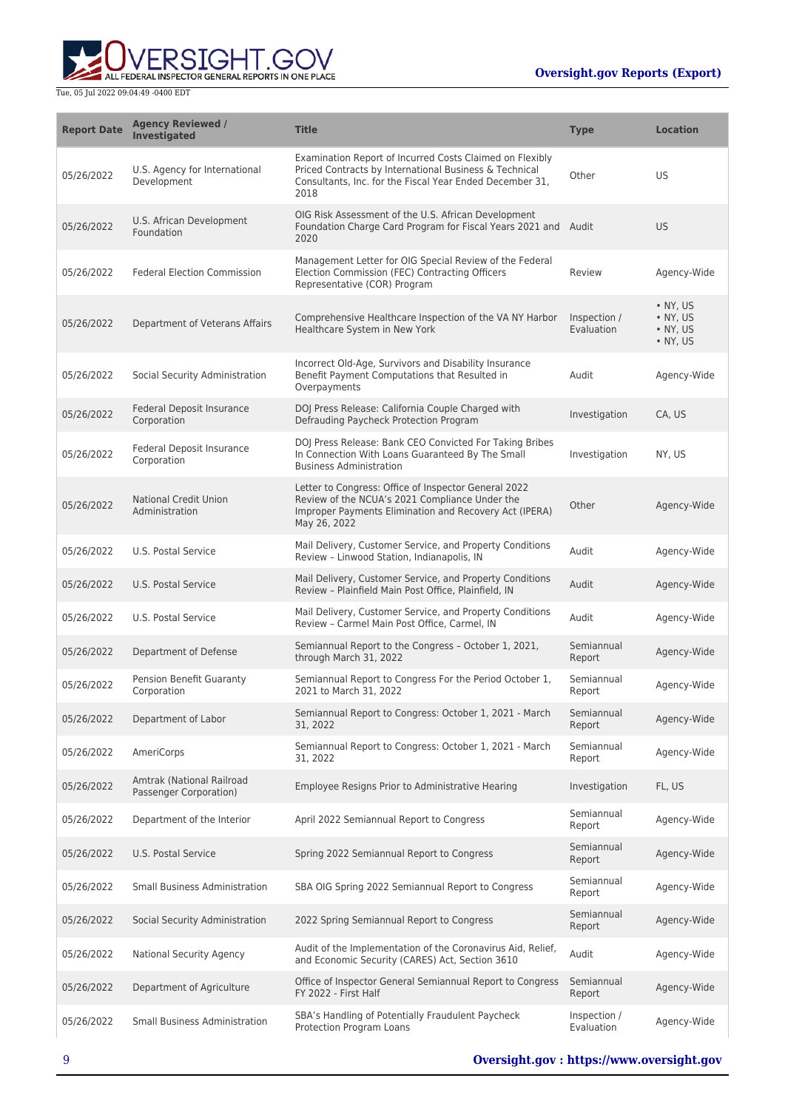

| <b>Report Date</b> | <b>Agency Reviewed /</b><br><b>Investigated</b>     | <b>Title</b>                                                                                                                                                                           | <b>Type</b>                | <b>Location</b>                                              |
|--------------------|-----------------------------------------------------|----------------------------------------------------------------------------------------------------------------------------------------------------------------------------------------|----------------------------|--------------------------------------------------------------|
| 05/26/2022         | U.S. Agency for International<br>Development        | Examination Report of Incurred Costs Claimed on Flexibly<br>Priced Contracts by International Business & Technical<br>Consultants, Inc. for the Fiscal Year Ended December 31,<br>2018 | Other                      | US                                                           |
| 05/26/2022         | U.S. African Development<br>Foundation              | OIG Risk Assessment of the U.S. African Development<br>Foundation Charge Card Program for Fiscal Years 2021 and Audit<br>2020                                                          |                            | <b>US</b>                                                    |
| 05/26/2022         | <b>Federal Election Commission</b>                  | Management Letter for OIG Special Review of the Federal<br>Election Commission (FEC) Contracting Officers<br>Representative (COR) Program                                              | Review                     | Agency-Wide                                                  |
| 05/26/2022         | Department of Veterans Affairs                      | Comprehensive Healthcare Inspection of the VA NY Harbor<br>Healthcare System in New York                                                                                               | Inspection /<br>Evaluation | • NY, US<br>$\bullet$ NY, US<br>• NY, US<br>$\bullet$ NY, US |
| 05/26/2022         | Social Security Administration                      | Incorrect Old-Age, Survivors and Disability Insurance<br>Benefit Payment Computations that Resulted in<br>Overpayments                                                                 | Audit                      | Agency-Wide                                                  |
| 05/26/2022         | Federal Deposit Insurance<br>Corporation            | DOJ Press Release: California Couple Charged with<br>Defrauding Paycheck Protection Program                                                                                            | Investigation              | CA, US                                                       |
| 05/26/2022         | Federal Deposit Insurance<br>Corporation            | DOJ Press Release: Bank CEO Convicted For Taking Bribes<br>In Connection With Loans Guaranteed By The Small<br><b>Business Administration</b>                                          | Investigation              | NY, US                                                       |
| 05/26/2022         | <b>National Credit Union</b><br>Administration      | Letter to Congress: Office of Inspector General 2022<br>Review of the NCUA's 2021 Compliance Under the<br>Improper Payments Elimination and Recovery Act (IPERA)<br>May 26, 2022       | Other                      | Agency-Wide                                                  |
| 05/26/2022         | U.S. Postal Service                                 | Mail Delivery, Customer Service, and Property Conditions<br>Review - Linwood Station, Indianapolis, IN                                                                                 | Audit                      | Agency-Wide                                                  |
| 05/26/2022         | U.S. Postal Service                                 | Mail Delivery, Customer Service, and Property Conditions<br>Review - Plainfield Main Post Office, Plainfield, IN                                                                       | Audit                      | Agency-Wide                                                  |
| 05/26/2022         | U.S. Postal Service                                 | Mail Delivery, Customer Service, and Property Conditions<br>Review - Carmel Main Post Office, Carmel, IN                                                                               | Audit                      | Agency-Wide                                                  |
| 05/26/2022         | Department of Defense                               | Semiannual Report to the Congress - October 1, 2021,<br>through March 31, 2022                                                                                                         | Semiannual<br>Report       | Agency-Wide                                                  |
| 05/26/2022         | <b>Pension Benefit Guaranty</b><br>Corporation      | Semiannual Report to Congress For the Period October 1,<br>2021 to March 31, 2022                                                                                                      | Semiannual<br>Report       | Agency-Wide                                                  |
| 05/26/2022         | Department of Labor                                 | Semiannual Report to Congress: October 1, 2021 - March<br>31, 2022                                                                                                                     | Semiannual<br>Report       | Agency-Wide                                                  |
| 05/26/2022         | AmeriCorps                                          | Semiannual Report to Congress: October 1, 2021 - March<br>31, 2022                                                                                                                     | Semiannual<br>Report       | Agency-Wide                                                  |
| 05/26/2022         | Amtrak (National Railroad<br>Passenger Corporation) | Employee Resigns Prior to Administrative Hearing                                                                                                                                       | Investigation              | FL, US                                                       |
| 05/26/2022         | Department of the Interior                          | April 2022 Semiannual Report to Congress                                                                                                                                               | Semiannual<br>Report       | Agency-Wide                                                  |
| 05/26/2022         | U.S. Postal Service                                 | Spring 2022 Semiannual Report to Congress                                                                                                                                              | Semiannual<br>Report       | Agency-Wide                                                  |
| 05/26/2022         | <b>Small Business Administration</b>                | SBA OIG Spring 2022 Semiannual Report to Congress                                                                                                                                      | Semiannual<br>Report       | Agency-Wide                                                  |
| 05/26/2022         | Social Security Administration                      | 2022 Spring Semiannual Report to Congress                                                                                                                                              | Semiannual<br>Report       | Agency-Wide                                                  |
| 05/26/2022         | National Security Agency                            | Audit of the Implementation of the Coronavirus Aid, Relief,<br>and Economic Security (CARES) Act, Section 3610                                                                         | Audit                      | Agency-Wide                                                  |
| 05/26/2022         | Department of Agriculture                           | Office of Inspector General Semiannual Report to Congress<br>FY 2022 - First Half                                                                                                      | Semiannual<br>Report       | Agency-Wide                                                  |
| 05/26/2022         | <b>Small Business Administration</b>                | SBA's Handling of Potentially Fraudulent Paycheck<br>Protection Program Loans                                                                                                          | Inspection /<br>Evaluation | Agency-Wide                                                  |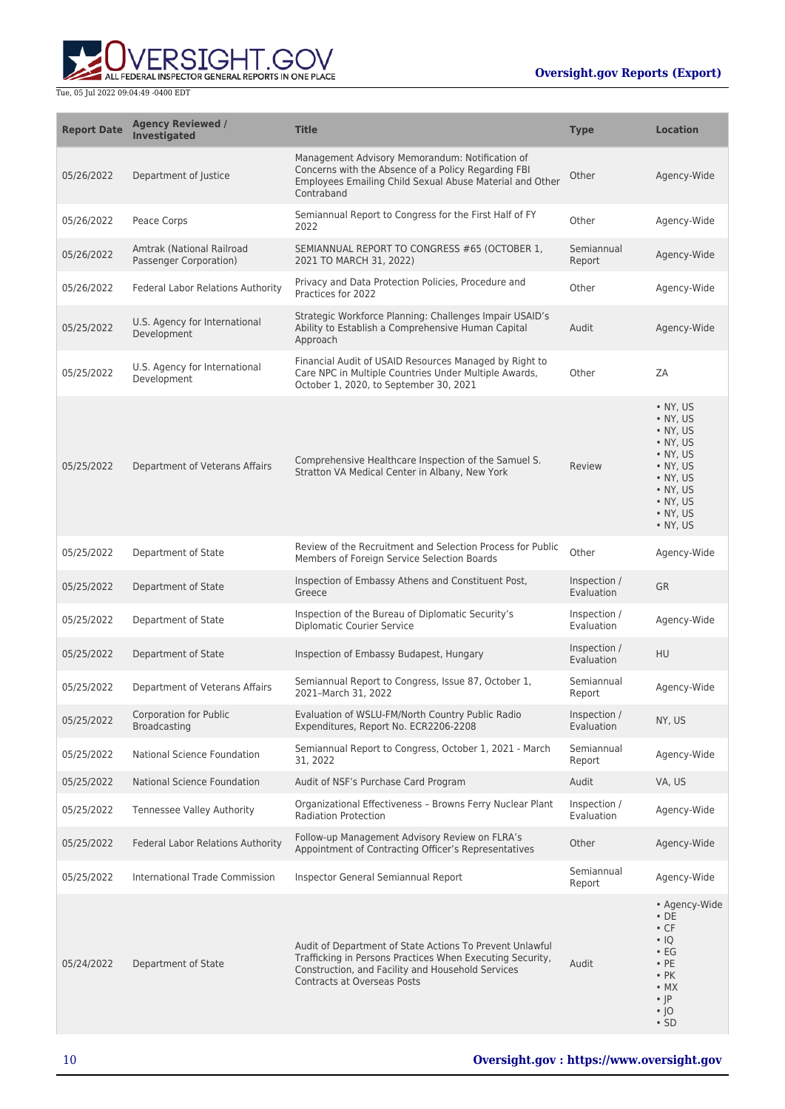

| <b>Report Date</b> | <b>Agency Reviewed /</b><br><b>Investigated</b>      | <b>Title</b>                                                                                                                                                                                                     | <b>Type</b>                | <b>Location</b>                                                                                                                                           |
|--------------------|------------------------------------------------------|------------------------------------------------------------------------------------------------------------------------------------------------------------------------------------------------------------------|----------------------------|-----------------------------------------------------------------------------------------------------------------------------------------------------------|
| 05/26/2022         | Department of Justice                                | Management Advisory Memorandum: Notification of<br>Concerns with the Absence of a Policy Regarding FBI<br>Employees Emailing Child Sexual Abuse Material and Other<br>Contraband                                 | Other                      | Agency-Wide                                                                                                                                               |
| 05/26/2022         | Peace Corps                                          | Semiannual Report to Congress for the First Half of FY<br>2022                                                                                                                                                   | Other                      | Agency-Wide                                                                                                                                               |
| 05/26/2022         | Amtrak (National Railroad<br>Passenger Corporation)  | SEMIANNUAL REPORT TO CONGRESS #65 (OCTOBER 1,<br>2021 TO MARCH 31, 2022)                                                                                                                                         | Semiannual<br>Report       | Agency-Wide                                                                                                                                               |
| 05/26/2022         | Federal Labor Relations Authority                    | Privacy and Data Protection Policies, Procedure and<br>Practices for 2022                                                                                                                                        | Other                      | Agency-Wide                                                                                                                                               |
| 05/25/2022         | U.S. Agency for International<br>Development         | Strategic Workforce Planning: Challenges Impair USAID's<br>Ability to Establish a Comprehensive Human Capital<br>Approach                                                                                        | Audit                      | Agency-Wide                                                                                                                                               |
| 05/25/2022         | U.S. Agency for International<br>Development         | Financial Audit of USAID Resources Managed by Right to<br>Care NPC in Multiple Countries Under Multiple Awards,<br>October 1, 2020, to September 30, 2021                                                        | Other                      | ZA                                                                                                                                                        |
| 05/25/2022         | Department of Veterans Affairs                       | Comprehensive Healthcare Inspection of the Samuel S.<br>Stratton VA Medical Center in Albany, New York                                                                                                           | Review                     | $\bullet$ NY, US<br>• NY, US<br>• NY, US<br>• NY, US<br>• NY, US<br>• NY, US<br>• NY, US<br>• NY, US<br>• NY, US<br>• NY, US<br>• NY, US                  |
| 05/25/2022         | Department of State                                  | Review of the Recruitment and Selection Process for Public<br>Members of Foreign Service Selection Boards                                                                                                        | Other                      | Agency-Wide                                                                                                                                               |
| 05/25/2022         | Department of State                                  | Inspection of Embassy Athens and Constituent Post,<br>Greece                                                                                                                                                     | Inspection /<br>Evaluation | <b>GR</b>                                                                                                                                                 |
| 05/25/2022         | Department of State                                  | Inspection of the Bureau of Diplomatic Security's<br><b>Diplomatic Courier Service</b>                                                                                                                           | Inspection /<br>Evaluation | Agency-Wide                                                                                                                                               |
| 05/25/2022         | Department of State                                  | Inspection of Embassy Budapest, Hungary                                                                                                                                                                          | Inspection /<br>Evaluation | <b>HU</b>                                                                                                                                                 |
| 05/25/2022         | Department of Veterans Affairs                       | Semiannual Report to Congress, Issue 87, October 1,<br>2021-March 31, 2022                                                                                                                                       | Semiannual<br>Report       | Agency-Wide                                                                                                                                               |
| 05/25/2022         | <b>Corporation for Public</b><br><b>Broadcasting</b> | Evaluation of WSLU-FM/North Country Public Radio<br>Expenditures, Report No. ECR2206-2208                                                                                                                        | Inspection /<br>Evaluation | NY, US                                                                                                                                                    |
| 05/25/2022         | National Science Foundation                          | Semiannual Report to Congress, October 1, 2021 - March<br>31, 2022                                                                                                                                               | Semiannual<br>Report       | Agency-Wide                                                                                                                                               |
| 05/25/2022         | National Science Foundation                          | Audit of NSF's Purchase Card Program                                                                                                                                                                             | Audit                      | VA, US                                                                                                                                                    |
| 05/25/2022         | Tennessee Valley Authority                           | Organizational Effectiveness - Browns Ferry Nuclear Plant<br><b>Radiation Protection</b>                                                                                                                         | Inspection /<br>Evaluation | Agency-Wide                                                                                                                                               |
| 05/25/2022         | Federal Labor Relations Authority                    | Follow-up Management Advisory Review on FLRA's<br>Appointment of Contracting Officer's Representatives                                                                                                           | Other                      | Agency-Wide                                                                                                                                               |
| 05/25/2022         | <b>International Trade Commission</b>                | Inspector General Semiannual Report                                                                                                                                                                              | Semiannual<br>Report       | Agency-Wide                                                                                                                                               |
| 05/24/2022         | Department of State                                  | Audit of Department of State Actions To Prevent Unlawful<br>Trafficking in Persons Practices When Executing Security,<br>Construction, and Facility and Household Services<br><b>Contracts at Overseas Posts</b> | Audit                      | • Agency-Wide<br>$\cdot$ DE<br>$\cdot$ CF<br>$\cdot$ IQ<br>$\cdot$ EG<br>$\cdot$ PE<br>$\cdot$ PK<br>$\cdot$ MX<br>$\cdot$  P<br>$\cdot$ 10<br>$\cdot$ SD |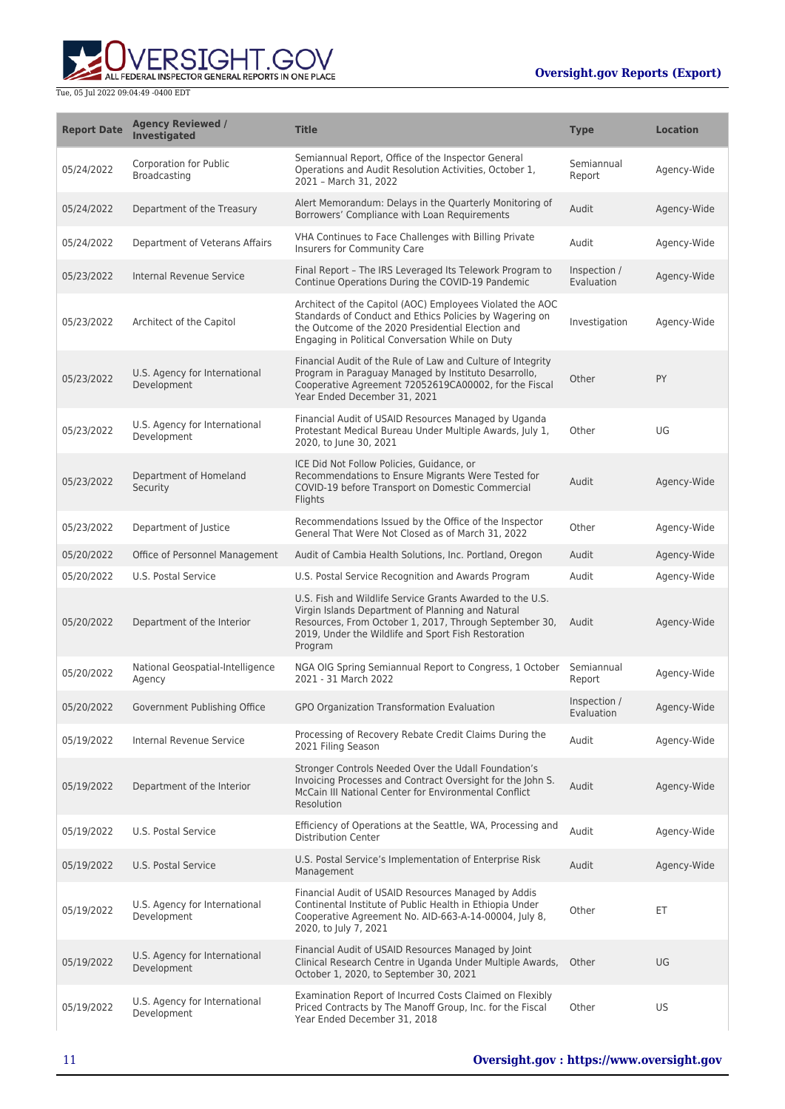

| <b>Report Date</b> | <b>Agency Reviewed /</b><br>Investigated     | <b>Title</b>                                                                                                                                                                                                                               | <b>Type</b>                | <b>Location</b> |
|--------------------|----------------------------------------------|--------------------------------------------------------------------------------------------------------------------------------------------------------------------------------------------------------------------------------------------|----------------------------|-----------------|
| 05/24/2022         | Corporation for Public<br>Broadcasting       | Semiannual Report, Office of the Inspector General<br>Operations and Audit Resolution Activities, October 1,<br>2021 - March 31, 2022                                                                                                      | Semiannual<br>Report       | Agency-Wide     |
| 05/24/2022         | Department of the Treasury                   | Alert Memorandum: Delays in the Quarterly Monitoring of<br>Borrowers' Compliance with Loan Requirements                                                                                                                                    | Audit                      | Agency-Wide     |
| 05/24/2022         | Department of Veterans Affairs               | VHA Continues to Face Challenges with Billing Private<br>Insurers for Community Care                                                                                                                                                       | Audit                      | Agency-Wide     |
| 05/23/2022         | Internal Revenue Service                     | Final Report - The IRS Leveraged Its Telework Program to<br>Continue Operations During the COVID-19 Pandemic                                                                                                                               | Inspection /<br>Evaluation | Agency-Wide     |
| 05/23/2022         | Architect of the Capitol                     | Architect of the Capitol (AOC) Employees Violated the AOC<br>Standards of Conduct and Ethics Policies by Wagering on<br>the Outcome of the 2020 Presidential Election and<br>Engaging in Political Conversation While on Duty              | Investigation              | Agency-Wide     |
| 05/23/2022         | U.S. Agency for International<br>Development | Financial Audit of the Rule of Law and Culture of Integrity<br>Program in Paraguay Managed by Instituto Desarrollo,<br>Cooperative Agreement 72052619CA00002, for the Fiscal<br>Year Ended December 31, 2021                               | Other                      | PY              |
| 05/23/2022         | U.S. Agency for International<br>Development | Financial Audit of USAID Resources Managed by Uganda<br>Protestant Medical Bureau Under Multiple Awards, July 1,<br>2020, to June 30, 2021                                                                                                 | Other                      | UG              |
| 05/23/2022         | Department of Homeland<br>Security           | ICE Did Not Follow Policies, Guidance, or<br>Recommendations to Ensure Migrants Were Tested for<br>COVID-19 before Transport on Domestic Commercial<br>Flights                                                                             | Audit                      | Agency-Wide     |
| 05/23/2022         | Department of Justice                        | Recommendations Issued by the Office of the Inspector<br>General That Were Not Closed as of March 31, 2022                                                                                                                                 | Other                      | Agency-Wide     |
| 05/20/2022         | Office of Personnel Management               | Audit of Cambia Health Solutions, Inc. Portland, Oregon                                                                                                                                                                                    | Audit                      | Agency-Wide     |
| 05/20/2022         | U.S. Postal Service                          | U.S. Postal Service Recognition and Awards Program                                                                                                                                                                                         | Audit                      | Agency-Wide     |
| 05/20/2022         | Department of the Interior                   | U.S. Fish and Wildlife Service Grants Awarded to the U.S.<br>Virgin Islands Department of Planning and Natural<br>Resources, From October 1, 2017, Through September 30,<br>2019, Under the Wildlife and Sport Fish Restoration<br>Program | Audit                      | Agency-Wide     |
| 05/20/2022         | National Geospatial-Intelligence<br>Agency   | NGA OIG Spring Semiannual Report to Congress, 1 October<br>2021 - 31 March 2022                                                                                                                                                            | Semiannual<br>Report       | Agency-Wide     |
| 05/20/2022         | Government Publishing Office                 | GPO Organization Transformation Evaluation                                                                                                                                                                                                 | Inspection /<br>Evaluation | Agency-Wide     |
| 05/19/2022         | Internal Revenue Service                     | Processing of Recovery Rebate Credit Claims During the<br>2021 Filing Season                                                                                                                                                               | Audit                      | Agency-Wide     |
| 05/19/2022         | Department of the Interior                   | Stronger Controls Needed Over the Udall Foundation's<br>Invoicing Processes and Contract Oversight for the John S.<br>McCain III National Center for Environmental Conflict<br>Resolution                                                  | Audit                      | Agency-Wide     |
| 05/19/2022         | U.S. Postal Service                          | Efficiency of Operations at the Seattle, WA, Processing and<br><b>Distribution Center</b>                                                                                                                                                  | Audit                      | Agency-Wide     |
| 05/19/2022         | U.S. Postal Service                          | U.S. Postal Service's Implementation of Enterprise Risk<br>Management                                                                                                                                                                      | Audit                      | Agency-Wide     |
| 05/19/2022         | U.S. Agency for International<br>Development | Financial Audit of USAID Resources Managed by Addis<br>Continental Institute of Public Health in Ethiopia Under<br>Cooperative Agreement No. AID-663-A-14-00004, July 8,<br>2020, to July 7, 2021                                          | Other                      | ET.             |
| 05/19/2022         | U.S. Agency for International<br>Development | Financial Audit of USAID Resources Managed by Joint<br>Clinical Research Centre in Uganda Under Multiple Awards,<br>October 1, 2020, to September 30, 2021                                                                                 | Other                      | UG              |
| 05/19/2022         | U.S. Agency for International<br>Development | Examination Report of Incurred Costs Claimed on Flexibly<br>Priced Contracts by The Manoff Group, Inc. for the Fiscal<br>Year Ended December 31, 2018                                                                                      | Other                      | US              |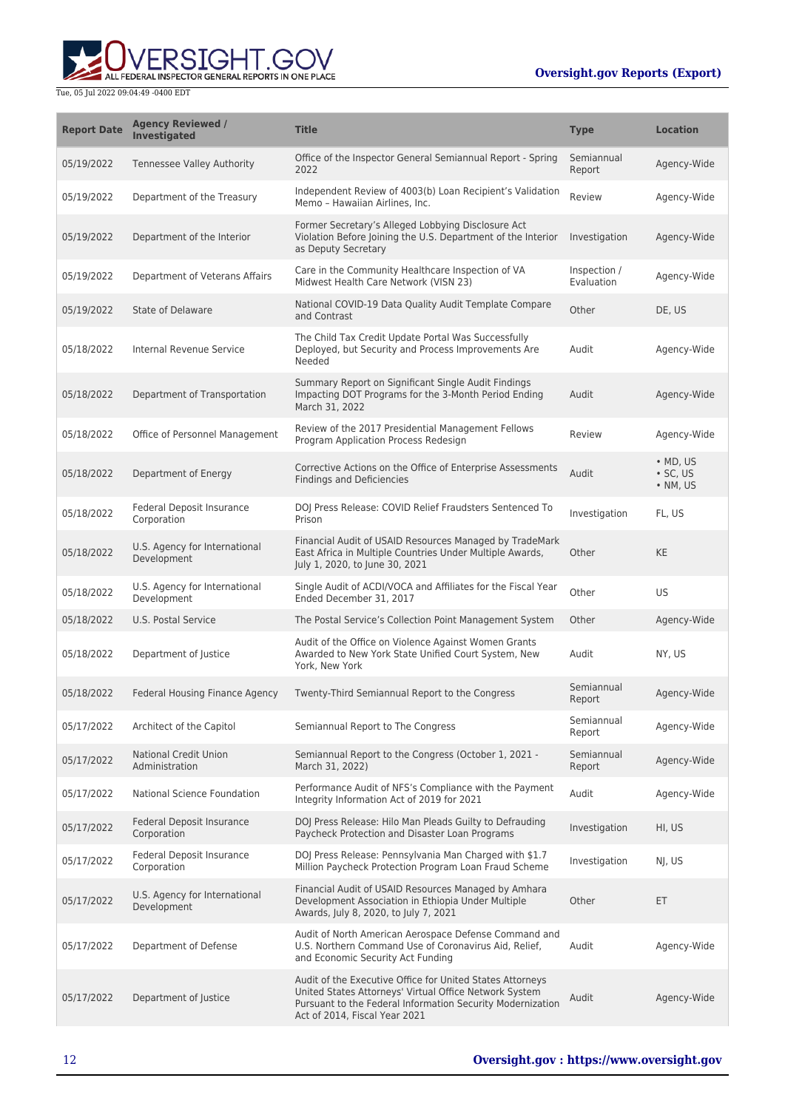

| <b>Report Date</b> | <b>Agency Reviewed /</b><br><b>Investigated</b> | <b>Title</b>                                                                                                                                                                                                       | <b>Type</b>                | <b>Location</b>                                        |
|--------------------|-------------------------------------------------|--------------------------------------------------------------------------------------------------------------------------------------------------------------------------------------------------------------------|----------------------------|--------------------------------------------------------|
| 05/19/2022         | <b>Tennessee Valley Authority</b>               | Office of the Inspector General Semiannual Report - Spring<br>2022                                                                                                                                                 | Semiannual<br>Report       | Agency-Wide                                            |
| 05/19/2022         | Department of the Treasury                      | Independent Review of 4003(b) Loan Recipient's Validation<br>Memo - Hawaiian Airlines, Inc.                                                                                                                        | Review                     | Agency-Wide                                            |
| 05/19/2022         | Department of the Interior                      | Former Secretary's Alleged Lobbying Disclosure Act<br>Violation Before Joining the U.S. Department of the Interior<br>as Deputy Secretary                                                                          | Investigation              | Agency-Wide                                            |
| 05/19/2022         | Department of Veterans Affairs                  | Care in the Community Healthcare Inspection of VA<br>Midwest Health Care Network (VISN 23)                                                                                                                         | Inspection /<br>Evaluation | Agency-Wide                                            |
| 05/19/2022         | <b>State of Delaware</b>                        | National COVID-19 Data Quality Audit Template Compare<br>and Contrast                                                                                                                                              | Other                      | DE, US                                                 |
| 05/18/2022         | Internal Revenue Service                        | The Child Tax Credit Update Portal Was Successfully<br>Deployed, but Security and Process Improvements Are<br>Needed                                                                                               | Audit                      | Agency-Wide                                            |
| 05/18/2022         | Department of Transportation                    | Summary Report on Significant Single Audit Findings<br>Impacting DOT Programs for the 3-Month Period Ending<br>March 31, 2022                                                                                      | Audit                      | Agency-Wide                                            |
| 05/18/2022         | Office of Personnel Management                  | Review of the 2017 Presidential Management Fellows<br>Program Application Process Redesign                                                                                                                         | Review                     | Agency-Wide                                            |
| 05/18/2022         | Department of Energy                            | Corrective Actions on the Office of Enterprise Assessments<br><b>Findings and Deficiencies</b>                                                                                                                     | Audit                      | $\bullet$ MD, US<br>$\cdot$ SC, US<br>$\bullet$ NM, US |
| 05/18/2022         | <b>Federal Deposit Insurance</b><br>Corporation | DOJ Press Release: COVID Relief Fraudsters Sentenced To<br>Prison                                                                                                                                                  | Investigation              | FL, US                                                 |
| 05/18/2022         | U.S. Agency for International<br>Development    | Financial Audit of USAID Resources Managed by TradeMark<br>East Africa in Multiple Countries Under Multiple Awards,<br>July 1, 2020, to June 30, 2021                                                              | Other                      | <b>KE</b>                                              |
| 05/18/2022         | U.S. Agency for International<br>Development    | Single Audit of ACDI/VOCA and Affiliates for the Fiscal Year<br>Ended December 31, 2017                                                                                                                            | Other                      | <b>US</b>                                              |
| 05/18/2022         | U.S. Postal Service                             | The Postal Service's Collection Point Management System                                                                                                                                                            | Other                      | Agency-Wide                                            |
| 05/18/2022         | Department of Justice                           | Audit of the Office on Violence Against Women Grants<br>Awarded to New York State Unified Court System, New<br>York, New York                                                                                      | Audit                      | NY, US                                                 |
| 05/18/2022         | Federal Housing Finance Agency                  | Twenty-Third Semiannual Report to the Congress                                                                                                                                                                     | Semiannual<br>Report       | Agency-Wide                                            |
| 05/17/2022         | Architect of the Capitol                        | Semiannual Report to The Congress                                                                                                                                                                                  | Semiannual<br>Report       | Agency-Wide                                            |
| 05/17/2022         | <b>National Credit Union</b><br>Administration  | Semiannual Report to the Congress (October 1, 2021 -<br>March 31, 2022)                                                                                                                                            | Semiannual<br>Report       | Agency-Wide                                            |
| 05/17/2022         | National Science Foundation                     | Performance Audit of NFS's Compliance with the Payment<br>Integrity Information Act of 2019 for 2021                                                                                                               | Audit                      | Agency-Wide                                            |
| 05/17/2022         | Federal Deposit Insurance<br>Corporation        | DOJ Press Release: Hilo Man Pleads Guilty to Defrauding<br>Paycheck Protection and Disaster Loan Programs                                                                                                          | Investigation              | HI, US                                                 |
| 05/17/2022         | Federal Deposit Insurance<br>Corporation        | DOJ Press Release: Pennsylvania Man Charged with \$1.7<br>Million Paycheck Protection Program Loan Fraud Scheme                                                                                                    | Investigation              | NJ, US                                                 |
| 05/17/2022         | U.S. Agency for International<br>Development    | Financial Audit of USAID Resources Managed by Amhara<br>Development Association in Ethiopia Under Multiple<br>Awards, July 8, 2020, to July 7, 2021                                                                | Other                      | ET.                                                    |
| 05/17/2022         | Department of Defense                           | Audit of North American Aerospace Defense Command and<br>U.S. Northern Command Use of Coronavirus Aid, Relief,<br>and Economic Security Act Funding                                                                | Audit                      | Agency-Wide                                            |
| 05/17/2022         | Department of Justice                           | Audit of the Executive Office for United States Attorneys<br>United States Attorneys' Virtual Office Network System<br>Pursuant to the Federal Information Security Modernization<br>Act of 2014, Fiscal Year 2021 | Audit                      | Agency-Wide                                            |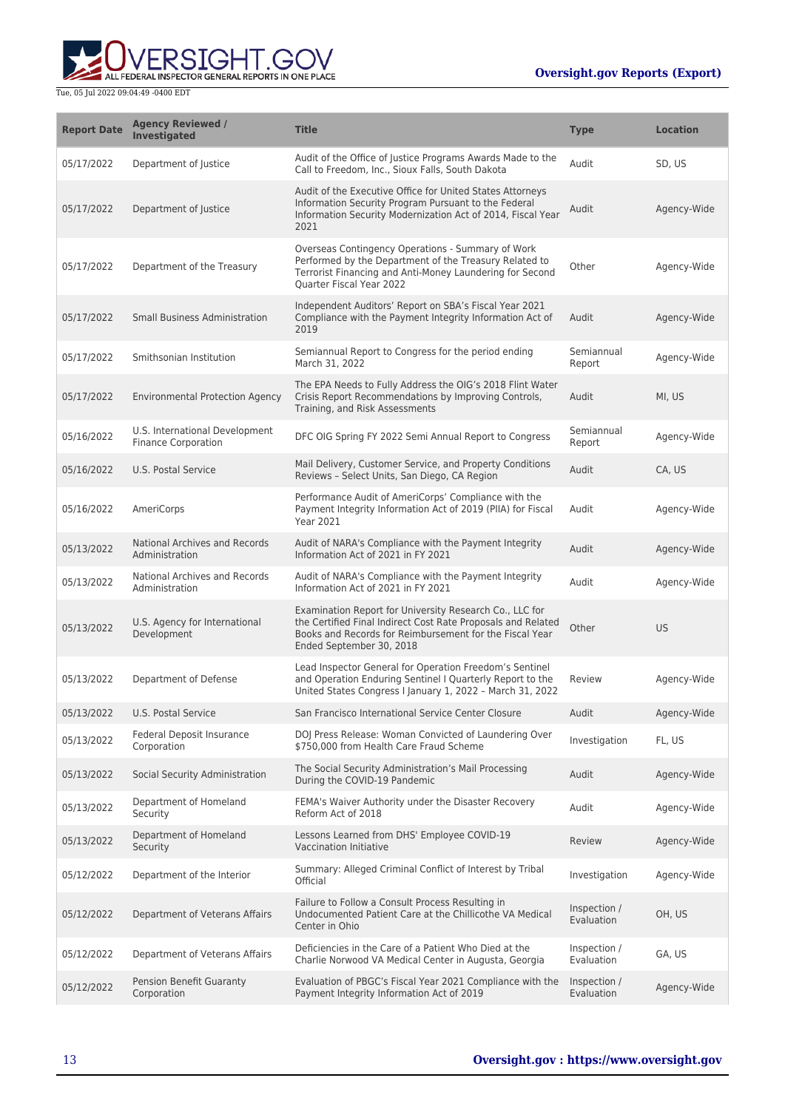

| <b>Report Date</b> | <b>Agency Reviewed /</b><br><b>Investigated</b>              | <b>Title</b>                                                                                                                                                                                                   | <b>Type</b>                | <b>Location</b> |
|--------------------|--------------------------------------------------------------|----------------------------------------------------------------------------------------------------------------------------------------------------------------------------------------------------------------|----------------------------|-----------------|
| 05/17/2022         | Department of Justice                                        | Audit of the Office of Justice Programs Awards Made to the<br>Call to Freedom, Inc., Sioux Falls, South Dakota                                                                                                 | Audit                      | SD, US          |
| 05/17/2022         | Department of Justice                                        | Audit of the Executive Office for United States Attorneys<br>Information Security Program Pursuant to the Federal<br>Information Security Modernization Act of 2014, Fiscal Year<br>2021                       | Audit                      | Agency-Wide     |
| 05/17/2022         | Department of the Treasury                                   | Overseas Contingency Operations - Summary of Work<br>Performed by the Department of the Treasury Related to<br>Terrorist Financing and Anti-Money Laundering for Second<br>Quarter Fiscal Year 2022            | Other                      | Agency-Wide     |
| 05/17/2022         | <b>Small Business Administration</b>                         | Independent Auditors' Report on SBA's Fiscal Year 2021<br>Compliance with the Payment Integrity Information Act of<br>2019                                                                                     | Audit                      | Agency-Wide     |
| 05/17/2022         | Smithsonian Institution                                      | Semiannual Report to Congress for the period ending<br>March 31, 2022                                                                                                                                          | Semiannual<br>Report       | Agency-Wide     |
| 05/17/2022         | <b>Environmental Protection Agency</b>                       | The EPA Needs to Fully Address the OIG's 2018 Flint Water<br>Crisis Report Recommendations by Improving Controls,<br>Training, and Risk Assessments                                                            | Audit                      | MI, US          |
| 05/16/2022         | U.S. International Development<br><b>Finance Corporation</b> | DFC OIG Spring FY 2022 Semi Annual Report to Congress                                                                                                                                                          | Semiannual<br>Report       | Agency-Wide     |
| 05/16/2022         | U.S. Postal Service                                          | Mail Delivery, Customer Service, and Property Conditions<br>Reviews - Select Units, San Diego, CA Region                                                                                                       | Audit                      | CA, US          |
| 05/16/2022         | AmeriCorps                                                   | Performance Audit of AmeriCorps' Compliance with the<br>Payment Integrity Information Act of 2019 (PIIA) for Fiscal<br><b>Year 2021</b>                                                                        | Audit                      | Agency-Wide     |
| 05/13/2022         | National Archives and Records<br>Administration              | Audit of NARA's Compliance with the Payment Integrity<br>Information Act of 2021 in FY 2021                                                                                                                    | Audit                      | Agency-Wide     |
| 05/13/2022         | National Archives and Records<br>Administration              | Audit of NARA's Compliance with the Payment Integrity<br>Information Act of 2021 in FY 2021                                                                                                                    | Audit                      | Agency-Wide     |
| 05/13/2022         | U.S. Agency for International<br>Development                 | Examination Report for University Research Co., LLC for<br>the Certified Final Indirect Cost Rate Proposals and Related<br>Books and Records for Reimbursement for the Fiscal Year<br>Ended September 30, 2018 | Other                      | <b>US</b>       |
| 05/13/2022         | Department of Defense                                        | Lead Inspector General for Operation Freedom's Sentinel<br>and Operation Enduring Sentinel I Quarterly Report to the<br>United States Congress I January 1, 2022 - March 31, 2022                              | Review                     | Agency-Wide     |
| 05/13/2022         | <b>U.S. Postal Service</b>                                   | San Francisco International Service Center Closure                                                                                                                                                             | Audit                      | Agency-Wide     |
| 05/13/2022         | Federal Deposit Insurance<br>Corporation                     | DOJ Press Release: Woman Convicted of Laundering Over<br>\$750,000 from Health Care Fraud Scheme                                                                                                               | Investigation              | FL, US          |
| 05/13/2022         | Social Security Administration                               | The Social Security Administration's Mail Processing<br>During the COVID-19 Pandemic                                                                                                                           | Audit                      | Agency-Wide     |
| 05/13/2022         | Department of Homeland<br>Security                           | FEMA's Waiver Authority under the Disaster Recovery<br>Reform Act of 2018                                                                                                                                      | Audit                      | Agency-Wide     |
| 05/13/2022         | Department of Homeland<br>Security                           | Lessons Learned from DHS' Employee COVID-19<br>Vaccination Initiative                                                                                                                                          | Review                     | Agency-Wide     |
| 05/12/2022         | Department of the Interior                                   | Summary: Alleged Criminal Conflict of Interest by Tribal<br>Official                                                                                                                                           | Investigation              | Agency-Wide     |
| 05/12/2022         | Department of Veterans Affairs                               | Failure to Follow a Consult Process Resulting in<br>Undocumented Patient Care at the Chillicothe VA Medical<br>Center in Ohio                                                                                  | Inspection /<br>Evaluation | OH, US          |
| 05/12/2022         | Department of Veterans Affairs                               | Deficiencies in the Care of a Patient Who Died at the<br>Charlie Norwood VA Medical Center in Augusta, Georgia                                                                                                 | Inspection /<br>Evaluation | GA, US          |
| 05/12/2022         | Pension Benefit Guaranty<br>Corporation                      | Evaluation of PBGC's Fiscal Year 2021 Compliance with the<br>Payment Integrity Information Act of 2019                                                                                                         | Inspection /<br>Evaluation | Agency-Wide     |